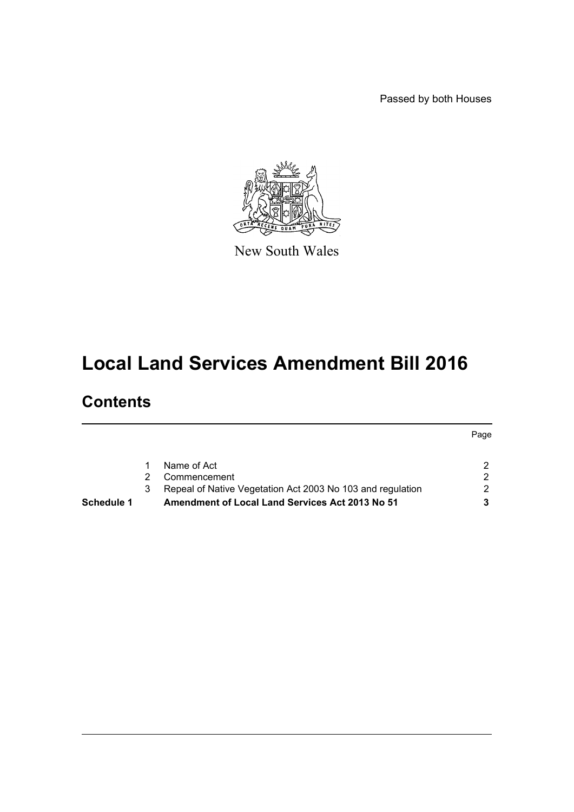Passed by both Houses

Page



New South Wales

# **Local Land Services Amendment Bill 2016**

# **Contents**

| Repeal of Native Vegetation Act 2003 No 103 and regulation | 2. |
|------------------------------------------------------------|----|
|                                                            |    |
| Commencement                                               |    |
| Name of Act                                                |    |
|                                                            |    |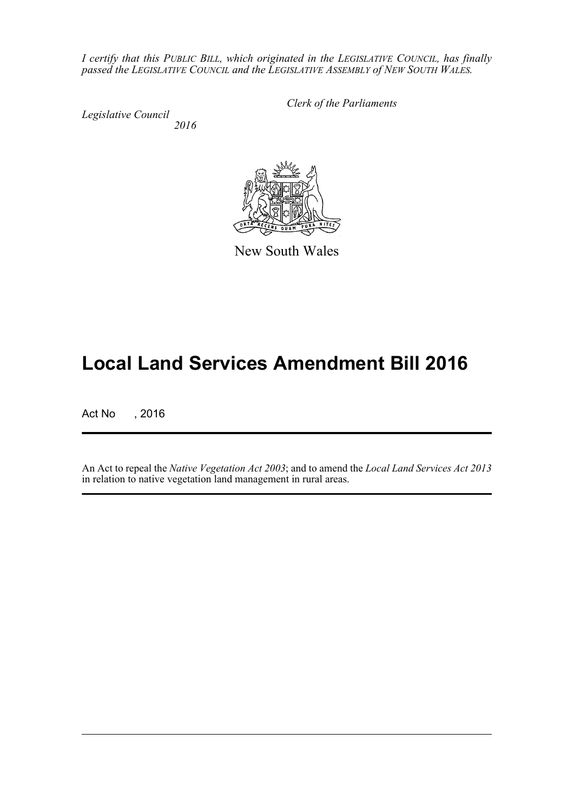*I certify that this PUBLIC BILL, which originated in the LEGISLATIVE COUNCIL, has finally passed the LEGISLATIVE COUNCIL and the LEGISLATIVE ASSEMBLY of NEW SOUTH WALES.*

*Legislative Council 2016* *Clerk of the Parliaments*



New South Wales

# **Local Land Services Amendment Bill 2016**

Act No , 2016

An Act to repeal the *Native Vegetation Act 2003*; and to amend the *Local Land Services Act 2013* in relation to native vegetation land management in rural areas.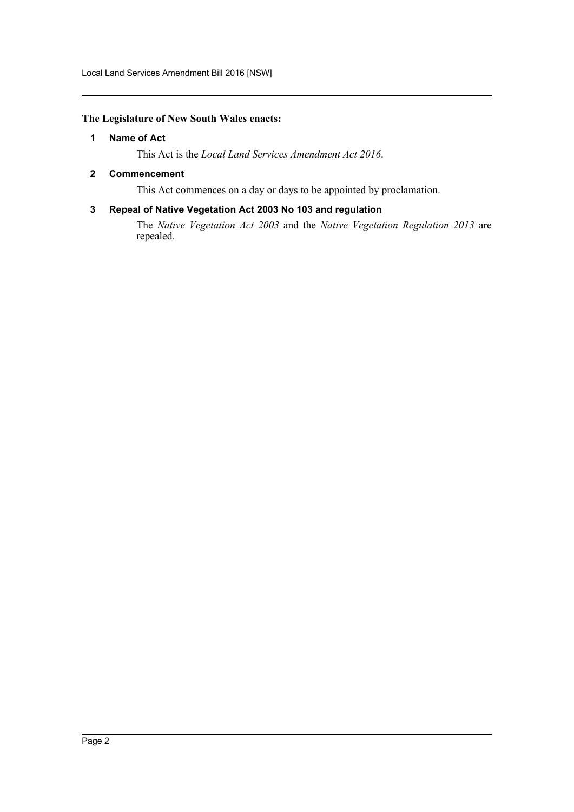#### <span id="page-2-0"></span>**The Legislature of New South Wales enacts:**

#### **1 Name of Act**

This Act is the *Local Land Services Amendment Act 2016*.

#### <span id="page-2-1"></span>**2 Commencement**

This Act commences on a day or days to be appointed by proclamation.

## <span id="page-2-2"></span>**3 Repeal of Native Vegetation Act 2003 No 103 and regulation**

The *Native Vegetation Act 2003* and the *Native Vegetation Regulation 2013* are repealed.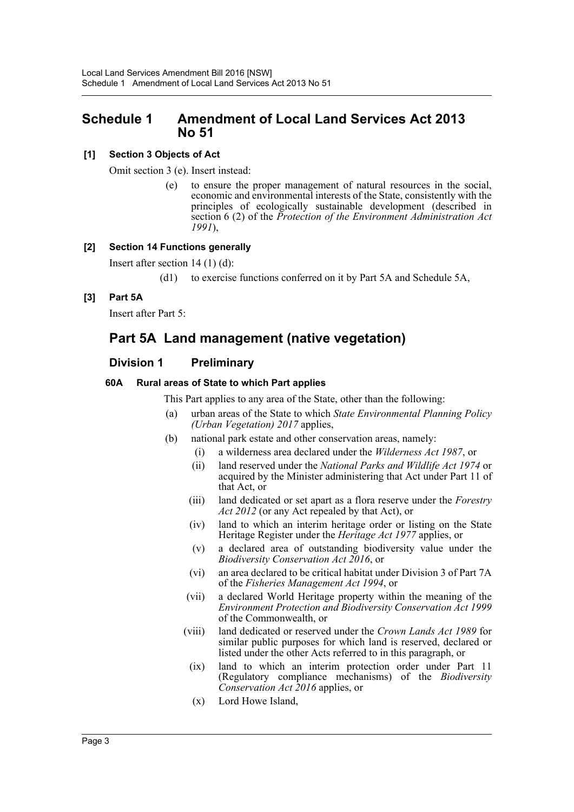# <span id="page-3-0"></span>**Schedule 1 Amendment of Local Land Services Act 2013 No 51**

# **[1] Section 3 Objects of Act**

Omit section 3 (e). Insert instead:

(e) to ensure the proper management of natural resources in the social, economic and environmental interests of the State, consistently with the principles of ecologically sustainable development (described in section 6 (2) of the *Protection of the Environment Administration Act 1991*),

# **[2] Section 14 Functions generally**

Insert after section 14 (1) (d):

(d1) to exercise functions conferred on it by Part 5A and Schedule 5A,

# **[3] Part 5A**

Insert after Part 5:

# **Part 5A Land management (native vegetation)**

# **Division 1 Preliminary**

# **60A Rural areas of State to which Part applies**

This Part applies to any area of the State, other than the following:

- (a) urban areas of the State to which *State Environmental Planning Policy (Urban Vegetation) 2017* applies,
- (b) national park estate and other conservation areas, namely:
	- (i) a wilderness area declared under the *Wilderness Act 1987*, or
	- (ii) land reserved under the *National Parks and Wildlife Act 1974* or acquired by the Minister administering that Act under Part 11 of that Act, or
	- (iii) land dedicated or set apart as a flora reserve under the *Forestry Act 2012* (or any Act repealed by that Act), or
	- (iv) land to which an interim heritage order or listing on the State Heritage Register under the *Heritage Act 1977* applies, or
	- (v) a declared area of outstanding biodiversity value under the *Biodiversity Conservation Act 2016*, or
	- (vi) an area declared to be critical habitat under Division 3 of Part 7A of the *Fisheries Management Act 1994*, or
	- (vii) a declared World Heritage property within the meaning of the *Environment Protection and Biodiversity Conservation Act 1999* of the Commonwealth, or
	- (viii) land dedicated or reserved under the *Crown Lands Act 1989* for similar public purposes for which land is reserved, declared or listed under the other Acts referred to in this paragraph, or
		- (ix) land to which an interim protection order under Part 11 (Regulatory compliance mechanisms) of the *Biodiversity Conservation Act 2016* applies, or
		- (x) Lord Howe Island,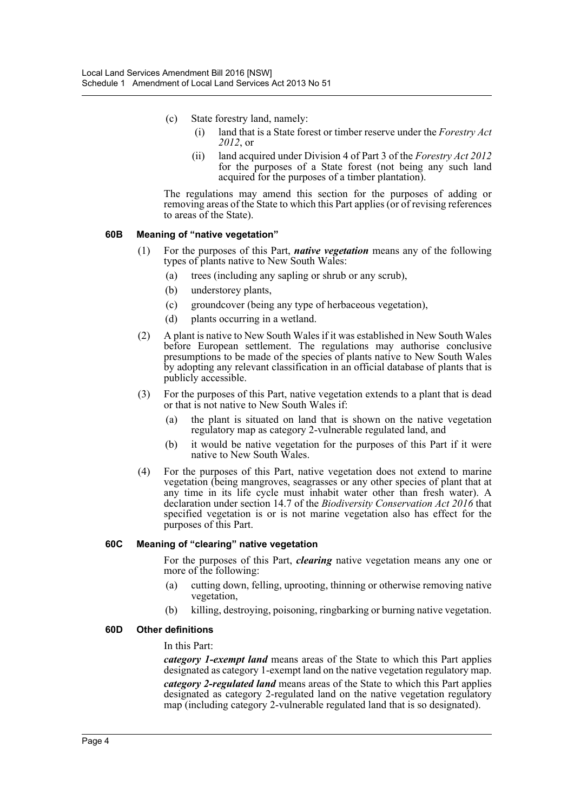- (c) State forestry land, namely:
	- (i) land that is a State forest or timber reserve under the *Forestry Act 2012*, or
	- (ii) land acquired under Division 4 of Part 3 of the *Forestry Act 2012* for the purposes of a State forest (not being any such land acquired for the purposes of a timber plantation).

The regulations may amend this section for the purposes of adding or removing areas of the State to which this Part applies (or of revising references to areas of the State).

### **60B Meaning of "native vegetation"**

- (1) For the purposes of this Part, *native vegetation* means any of the following types of plants native to New South Wales:
	- (a) trees (including any sapling or shrub or any scrub),
	- (b) understorey plants,
	- (c) groundcover (being any type of herbaceous vegetation),
	- (d) plants occurring in a wetland.
- (2) A plant is native to New South Wales if it was established in New South Wales before European settlement. The regulations may authorise conclusive presumptions to be made of the species of plants native to New South Wales by adopting any relevant classification in an official database of plants that is publicly accessible.
- (3) For the purposes of this Part, native vegetation extends to a plant that is dead or that is not native to New South Wales if:
	- (a) the plant is situated on land that is shown on the native vegetation regulatory map as category 2-vulnerable regulated land, and
	- (b) it would be native vegetation for the purposes of this Part if it were native to New South Wales.
- (4) For the purposes of this Part, native vegetation does not extend to marine vegetation (being mangroves, seagrasses or any other species of plant that at any time in its life cycle must inhabit water other than fresh water). A declaration under section 14.7 of the *Biodiversity Conservation Act 2016* that specified vegetation is or is not marine vegetation also has effect for the purposes of this Part.

#### **60C Meaning of "clearing" native vegetation**

For the purposes of this Part, *clearing* native vegetation means any one or more of the following:

- (a) cutting down, felling, uprooting, thinning or otherwise removing native vegetation,
- (b) killing, destroying, poisoning, ringbarking or burning native vegetation.

#### **60D Other definitions**

#### In this Part:

*category 1-exempt land* means areas of the State to which this Part applies designated as category 1-exempt land on the native vegetation regulatory map. *category 2-regulated land* means areas of the State to which this Part applies designated as category 2-regulated land on the native vegetation regulatory map (including category 2-vulnerable regulated land that is so designated).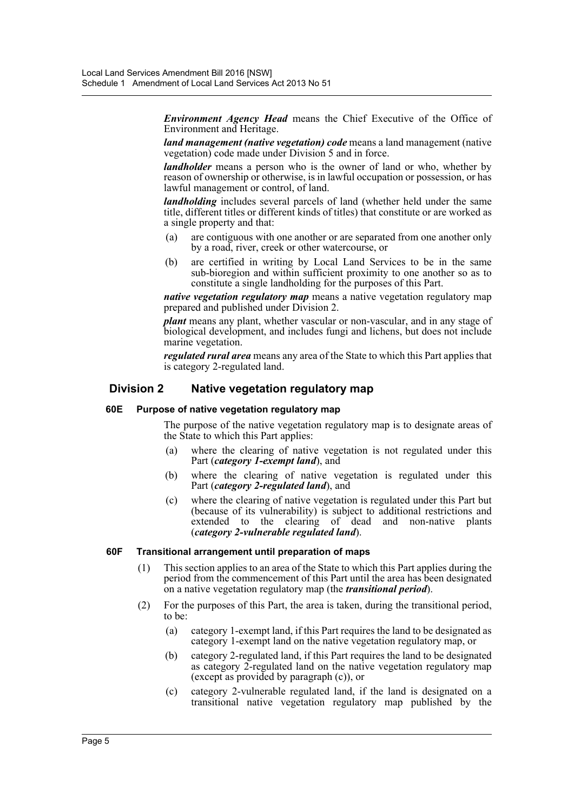*Environment Agency Head* means the Chief Executive of the Office of Environment and Heritage.

*land management (native vegetation) code* means a land management (native vegetation) code made under Division 5 and in force.

*landholder* means a person who is the owner of land or who, whether by reason of ownership or otherwise, is in lawful occupation or possession, or has lawful management or control, of land.

*landholding* includes several parcels of land (whether held under the same title, different titles or different kinds of titles) that constitute or are worked as a single property and that:

- (a) are contiguous with one another or are separated from one another only by a road, river, creek or other watercourse, or
- (b) are certified in writing by Local Land Services to be in the same sub-bioregion and within sufficient proximity to one another so as to constitute a single landholding for the purposes of this Part.

*native vegetation regulatory map* means a native vegetation regulatory map prepared and published under Division 2.

*plant* means any plant, whether vascular or non-vascular, and in any stage of biological development, and includes fungi and lichens, but does not include marine vegetation.

*regulated rural area* means any area of the State to which this Part applies that is category 2-regulated land.

## **Division 2 Native vegetation regulatory map**

#### **60E Purpose of native vegetation regulatory map**

The purpose of the native vegetation regulatory map is to designate areas of the State to which this Part applies:

- (a) where the clearing of native vegetation is not regulated under this Part (*category 1-exempt land*), and
- (b) where the clearing of native vegetation is regulated under this Part (*category 2-regulated land*), and
- (c) where the clearing of native vegetation is regulated under this Part but (because of its vulnerability) is subject to additional restrictions and extended to the clearing of dead and non-native plants (*category 2-vulnerable regulated land*).

#### **60F Transitional arrangement until preparation of maps**

- (1) This section applies to an area of the State to which this Part applies during the period from the commencement of this Part until the area has been designated on a native vegetation regulatory map (the *transitional period*).
- (2) For the purposes of this Part, the area is taken, during the transitional period, to be:
	- (a) category 1-exempt land, if this Part requires the land to be designated as category 1-exempt land on the native vegetation regulatory map, or
	- (b) category 2-regulated land, if this Part requires the land to be designated as category 2-regulated land on the native vegetation regulatory map (except as provided by paragraph (c)), or
	- (c) category 2-vulnerable regulated land, if the land is designated on a transitional native vegetation regulatory map published by the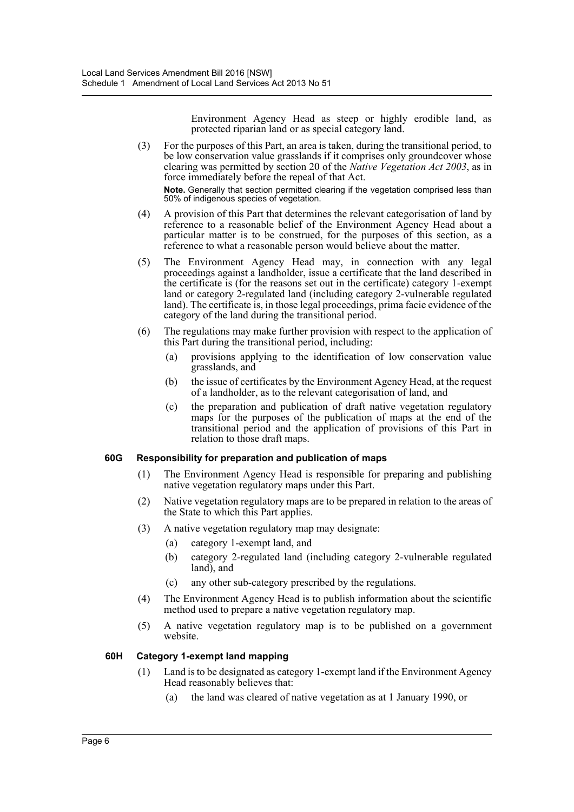Environment Agency Head as steep or highly erodible land, as protected riparian land or as special category land.

(3) For the purposes of this Part, an area is taken, during the transitional period, to be low conservation value grasslands if it comprises only groundcover whose clearing was permitted by section 20 of the *Native Vegetation Act 2003*, as in force immediately before the repeal of that Act.

**Note.** Generally that section permitted clearing if the vegetation comprised less than 50% of indigenous species of vegetation.

- (4) A provision of this Part that determines the relevant categorisation of land by reference to a reasonable belief of the Environment Agency Head about a particular matter is to be construed, for the purposes of this section, as a reference to what a reasonable person would believe about the matter.
- (5) The Environment Agency Head may, in connection with any legal proceedings against a landholder, issue a certificate that the land described in the certificate is (for the reasons set out in the certificate) category 1-exempt land or category 2-regulated land (including category 2-vulnerable regulated land). The certificate is, in those legal proceedings, prima facie evidence of the category of the land during the transitional period.
- (6) The regulations may make further provision with respect to the application of this Part during the transitional period, including:
	- (a) provisions applying to the identification of low conservation value grasslands, and
	- (b) the issue of certificates by the Environment Agency Head, at the request of a landholder, as to the relevant categorisation of land, and
	- (c) the preparation and publication of draft native vegetation regulatory maps for the purposes of the publication of maps at the end of the transitional period and the application of provisions of this Part in relation to those draft maps.

#### **60G Responsibility for preparation and publication of maps**

- (1) The Environment Agency Head is responsible for preparing and publishing native vegetation regulatory maps under this Part.
- (2) Native vegetation regulatory maps are to be prepared in relation to the areas of the State to which this Part applies.
- (3) A native vegetation regulatory map may designate:
	- (a) category 1-exempt land, and
	- (b) category 2-regulated land (including category 2-vulnerable regulated land), and
	- (c) any other sub-category prescribed by the regulations.
- (4) The Environment Agency Head is to publish information about the scientific method used to prepare a native vegetation regulatory map.
- (5) A native vegetation regulatory map is to be published on a government website.

# **60H Category 1-exempt land mapping**

- (1) Land is to be designated as category 1-exempt land if the Environment Agency Head reasonably believes that:
	- (a) the land was cleared of native vegetation as at 1 January 1990, or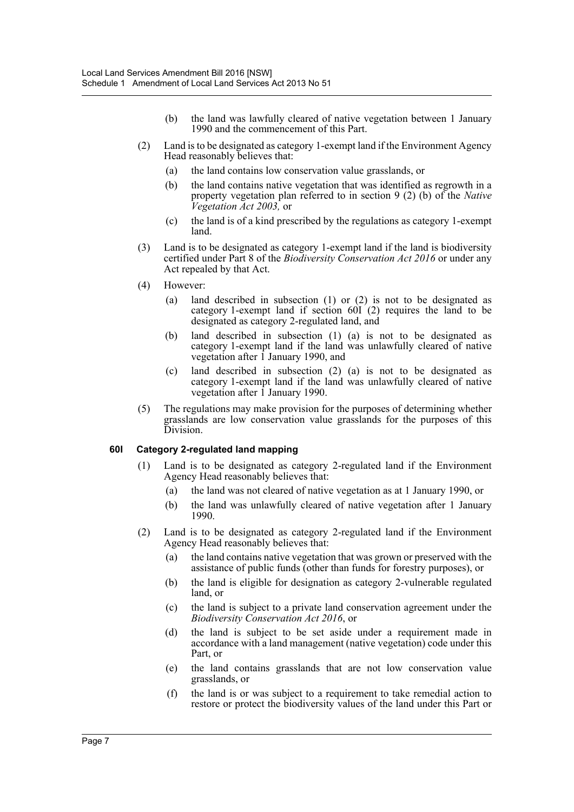- (b) the land was lawfully cleared of native vegetation between 1 January 1990 and the commencement of this Part.
- (2) Land is to be designated as category 1-exempt land if the Environment Agency Head reasonably believes that:
	- (a) the land contains low conservation value grasslands, or
	- (b) the land contains native vegetation that was identified as regrowth in a property vegetation plan referred to in section 9 (2) (b) of the *Native Vegetation Act 2003,* or
	- (c) the land is of a kind prescribed by the regulations as category 1-exempt land.
- (3) Land is to be designated as category 1-exempt land if the land is biodiversity certified under Part 8 of the *Biodiversity Conservation Act 2016* or under any Act repealed by that Act.
- (4) However:
	- (a) land described in subsection (1) or (2) is not to be designated as category 1-exempt land if section  $60I(2)$  requires the land to be designated as category 2-regulated land, and
	- (b) land described in subsection (1) (a) is not to be designated as category 1-exempt land if the land was unlawfully cleared of native vegetation after  $\overline{1}$  January 1990, and
	- (c) land described in subsection (2) (a) is not to be designated as category 1-exempt land if the land was unlawfully cleared of native vegetation after  $\overline{1}$  January 1990.
- (5) The regulations may make provision for the purposes of determining whether grasslands are low conservation value grasslands for the purposes of this Division.

#### **60I Category 2-regulated land mapping**

- (1) Land is to be designated as category 2-regulated land if the Environment Agency Head reasonably believes that:
	- (a) the land was not cleared of native vegetation as at 1 January 1990, or
	- (b) the land was unlawfully cleared of native vegetation after 1 January 1990.
- (2) Land is to be designated as category 2-regulated land if the Environment Agency Head reasonably believes that:
	- (a) the land contains native vegetation that was grown or preserved with the assistance of public funds (other than funds for forestry purposes), or
	- (b) the land is eligible for designation as category 2-vulnerable regulated land, or
	- (c) the land is subject to a private land conservation agreement under the *Biodiversity Conservation Act 2016*, or
	- (d) the land is subject to be set aside under a requirement made in accordance with a land management (native vegetation) code under this Part, or
	- (e) the land contains grasslands that are not low conservation value grasslands, or
	- (f) the land is or was subject to a requirement to take remedial action to restore or protect the biodiversity values of the land under this Part or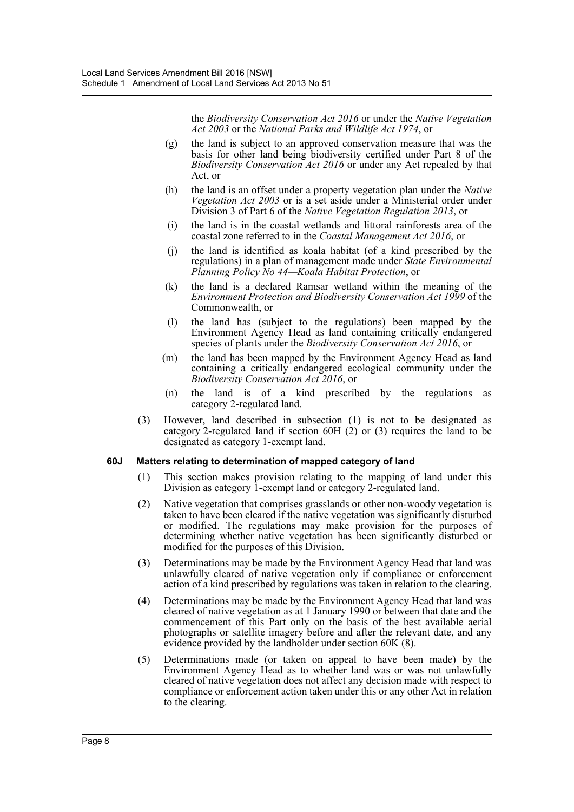the *Biodiversity Conservation Act 2016* or under the *Native Vegetation Act 2003* or the *National Parks and Wildlife Act 1974*, or

- (g) the land is subject to an approved conservation measure that was the basis for other land being biodiversity certified under Part 8 of the *Biodiversity Conservation Act 2016* or under any Act repealed by that Act, or
- (h) the land is an offset under a property vegetation plan under the *Native Vegetation Act 2003* or is a set aside under a Ministerial order under Division 3 of Part 6 of the *Native Vegetation Regulation 2013*, or
- (i) the land is in the coastal wetlands and littoral rainforests area of the coastal zone referred to in the *Coastal Management Act 2016*, or
- (j) the land is identified as koala habitat (of a kind prescribed by the regulations) in a plan of management made under *State Environmental Planning Policy No 44—Koala Habitat Protection*, or
- (k) the land is a declared Ramsar wetland within the meaning of the *Environment Protection and Biodiversity Conservation Act 1999* of the Commonwealth, or
- (l) the land has (subject to the regulations) been mapped by the Environment Agency Head as land containing critically endangered species of plants under the *Biodiversity Conservation Act 2016*, or
- (m) the land has been mapped by the Environment Agency Head as land containing a critically endangered ecological community under the *Biodiversity Conservation Act 2016*, or
- (n) the land is of a kind prescribed by the regulations as category 2-regulated land.
- (3) However, land described in subsection (1) is not to be designated as category 2-regulated land if section 60H (2) or (3) requires the land to be designated as category 1-exempt land.

#### **60J Matters relating to determination of mapped category of land**

- (1) This section makes provision relating to the mapping of land under this Division as category 1-exempt land or category 2-regulated land.
- (2) Native vegetation that comprises grasslands or other non-woody vegetation is taken to have been cleared if the native vegetation was significantly disturbed or modified. The regulations may make provision for the purposes of determining whether native vegetation has been significantly disturbed or modified for the purposes of this Division.
- (3) Determinations may be made by the Environment Agency Head that land was unlawfully cleared of native vegetation only if compliance or enforcement action of a kind prescribed by regulations was taken in relation to the clearing.
- (4) Determinations may be made by the Environment Agency Head that land was cleared of native vegetation as at 1 January 1990 or between that date and the commencement of this Part only on the basis of the best available aerial photographs or satellite imagery before and after the relevant date, and any evidence provided by the landholder under section 60K (8).
- (5) Determinations made (or taken on appeal to have been made) by the Environment Agency Head as to whether land was or was not unlawfully cleared of native vegetation does not affect any decision made with respect to compliance or enforcement action taken under this or any other Act in relation to the clearing.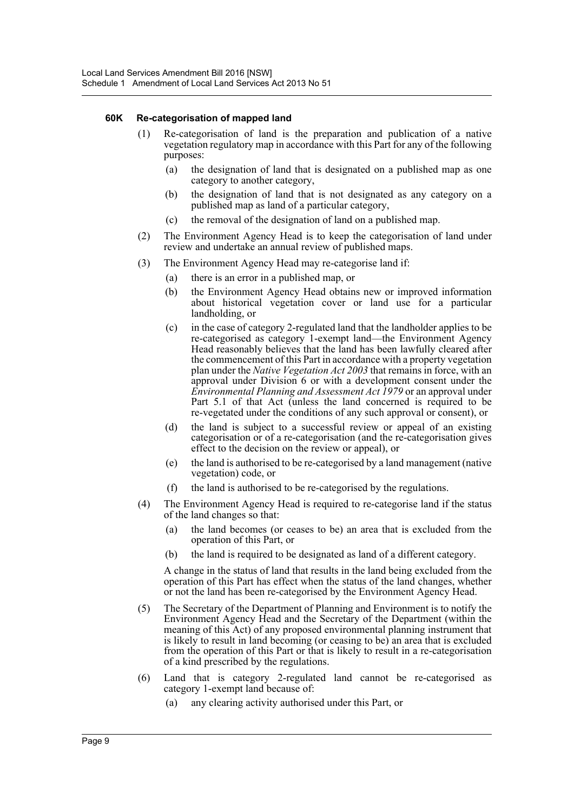#### **60K Re-categorisation of mapped land**

- (1) Re-categorisation of land is the preparation and publication of a native vegetation regulatory map in accordance with this Part for any of the following purposes:
	- (a) the designation of land that is designated on a published map as one category to another category,
	- (b) the designation of land that is not designated as any category on a published map as land of a particular category,
	- (c) the removal of the designation of land on a published map.
- (2) The Environment Agency Head is to keep the categorisation of land under review and undertake an annual review of published maps.
- (3) The Environment Agency Head may re-categorise land if:
	- (a) there is an error in a published map, or
	- (b) the Environment Agency Head obtains new or improved information about historical vegetation cover or land use for a particular landholding, or
	- (c) in the case of category 2-regulated land that the landholder applies to be re-categorised as category 1-exempt land—the Environment Agency Head reasonably believes that the land has been lawfully cleared after the commencement of this Part in accordance with a property vegetation plan under the *Native Vegetation Act 2003* that remains in force, with an approval under Division 6 or with a development consent under the *Environmental Planning and Assessment Act 1979* or an approval under Part 5.1 of that Act (unless the land concerned is required to be re-vegetated under the conditions of any such approval or consent), or
	- (d) the land is subject to a successful review or appeal of an existing categorisation or of a re-categorisation (and the re-categorisation gives effect to the decision on the review or appeal), or
	- (e) the land is authorised to be re-categorised by a land management (native vegetation) code, or
	- (f) the land is authorised to be re-categorised by the regulations.
- (4) The Environment Agency Head is required to re-categorise land if the status of the land changes so that:
	- (a) the land becomes (or ceases to be) an area that is excluded from the operation of this Part, or
	- (b) the land is required to be designated as land of a different category.

A change in the status of land that results in the land being excluded from the operation of this Part has effect when the status of the land changes, whether or not the land has been re-categorised by the Environment Agency Head.

- (5) The Secretary of the Department of Planning and Environment is to notify the Environment Agency Head and the Secretary of the Department (within the meaning of this Act) of any proposed environmental planning instrument that is likely to result in land becoming (or ceasing to be) an area that is excluded from the operation of this Part or that is likely to result in a re-categorisation of a kind prescribed by the regulations.
- (6) Land that is category 2-regulated land cannot be re-categorised as category 1-exempt land because of:
	- (a) any clearing activity authorised under this Part, or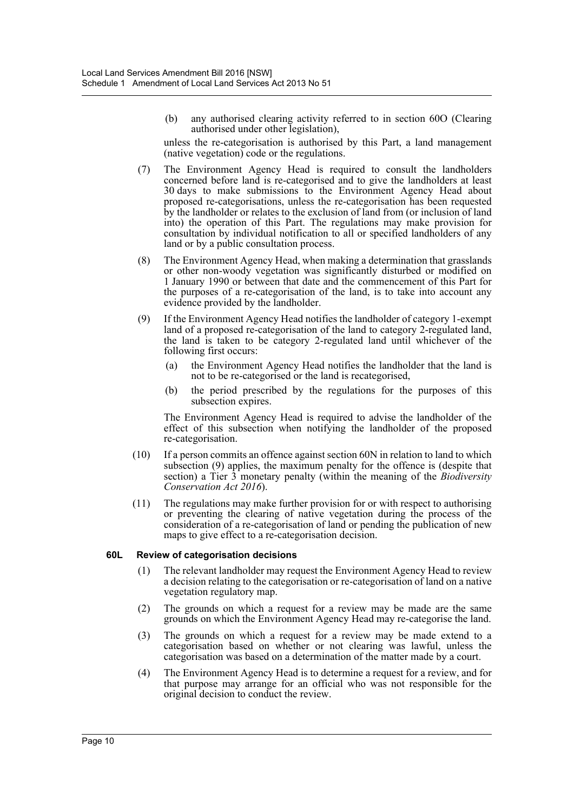(b) any authorised clearing activity referred to in section 60O (Clearing authorised under other legislation),

unless the re-categorisation is authorised by this Part, a land management (native vegetation) code or the regulations.

- (7) The Environment Agency Head is required to consult the landholders concerned before land is re-categorised and to give the landholders at least 30 days to make submissions to the Environment Agency Head about proposed re-categorisations, unless the re-categorisation has been requested by the landholder or relates to the exclusion of land from (or inclusion of land into) the operation of this Part. The regulations may make provision for consultation by individual notification to all or specified landholders of any land or by a public consultation process.
- (8) The Environment Agency Head, when making a determination that grasslands or other non-woody vegetation was significantly disturbed or modified on 1 January 1990 or between that date and the commencement of this Part for the purposes of a re-categorisation of the land, is to take into account any evidence provided by the landholder.
- (9) If the Environment Agency Head notifies the landholder of category 1-exempt land of a proposed re-categorisation of the land to category 2-regulated land, the land is taken to be category 2-regulated land until whichever of the following first occurs:
	- (a) the Environment Agency Head notifies the landholder that the land is not to be re-categorised or the land is recategorised,
	- (b) the period prescribed by the regulations for the purposes of this subsection expires.

The Environment Agency Head is required to advise the landholder of the effect of this subsection when notifying the landholder of the proposed re-categorisation.

- (10) If a person commits an offence against section 60N in relation to land to which subsection (9) applies, the maximum penalty for the offence is (despite that section) a Tier 3 monetary penalty (within the meaning of the *Biodiversity Conservation Act 2016*).
- (11) The regulations may make further provision for or with respect to authorising or preventing the clearing of native vegetation during the process of the consideration of a re-categorisation of land or pending the publication of new maps to give effect to a re-categorisation decision.

#### **60L Review of categorisation decisions**

- (1) The relevant landholder may request the Environment Agency Head to review a decision relating to the categorisation or re-categorisation of land on a native vegetation regulatory map.
- (2) The grounds on which a request for a review may be made are the same grounds on which the Environment Agency Head may re-categorise the land.
- (3) The grounds on which a request for a review may be made extend to a categorisation based on whether or not clearing was lawful, unless the categorisation was based on a determination of the matter made by a court.
- (4) The Environment Agency Head is to determine a request for a review, and for that purpose may arrange for an official who was not responsible for the original decision to conduct the review.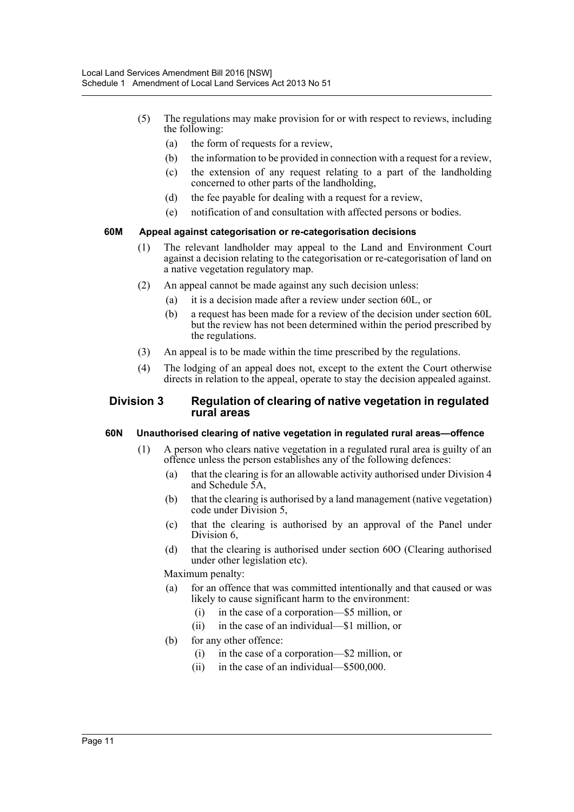- (5) The regulations may make provision for or with respect to reviews, including the following:
	- (a) the form of requests for a review,
	- (b) the information to be provided in connection with a request for a review,
	- (c) the extension of any request relating to a part of the landholding concerned to other parts of the landholding,
	- (d) the fee payable for dealing with a request for a review,
	- (e) notification of and consultation with affected persons or bodies.

#### **60M Appeal against categorisation or re-categorisation decisions**

- (1) The relevant landholder may appeal to the Land and Environment Court against a decision relating to the categorisation or re-categorisation of land on a native vegetation regulatory map.
- (2) An appeal cannot be made against any such decision unless:
	- (a) it is a decision made after a review under section 60L, or
	- (b) a request has been made for a review of the decision under section 60L but the review has not been determined within the period prescribed by the regulations.
- (3) An appeal is to be made within the time prescribed by the regulations.
- (4) The lodging of an appeal does not, except to the extent the Court otherwise directs in relation to the appeal, operate to stay the decision appealed against.

## **Division 3 Regulation of clearing of native vegetation in regulated rural areas**

#### **60N Unauthorised clearing of native vegetation in regulated rural areas—offence**

- (1) A person who clears native vegetation in a regulated rural area is guilty of an offence unless the person establishes any of the following defences:
	- (a) that the clearing is for an allowable activity authorised under Division 4 and Schedule 5A,
	- (b) that the clearing is authorised by a land management (native vegetation) code under Division 5,
	- (c) that the clearing is authorised by an approval of the Panel under Division 6.
	- (d) that the clearing is authorised under section 60O (Clearing authorised under other legislation etc).

Maximum penalty:

- (a) for an offence that was committed intentionally and that caused or was likely to cause significant harm to the environment:
	- (i) in the case of a corporation—\$5 million, or
	- (ii) in the case of an individual—\$1 million, or
- (b) for any other offence:
	- (i) in the case of a corporation—\$2 million, or
	- (ii) in the case of an individual—\$500,000.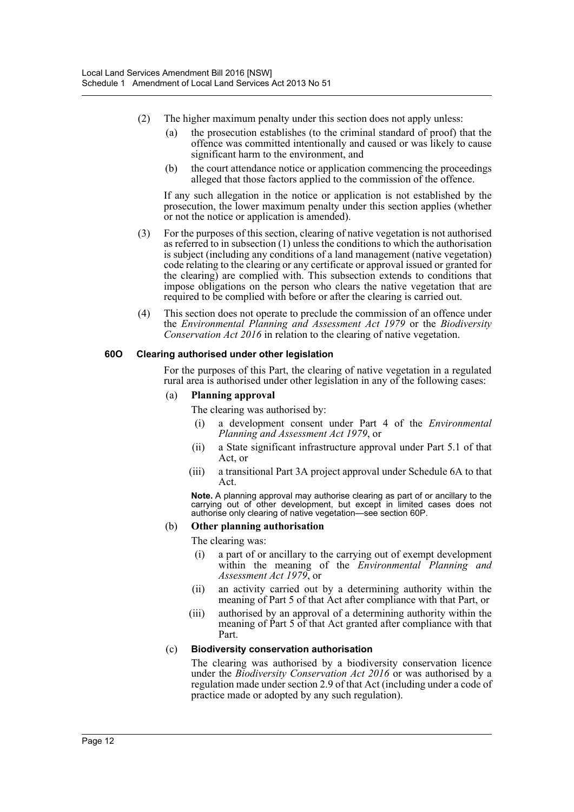- (2) The higher maximum penalty under this section does not apply unless:
	- (a) the prosecution establishes (to the criminal standard of proof) that the offence was committed intentionally and caused or was likely to cause significant harm to the environment, and
	- (b) the court attendance notice or application commencing the proceedings alleged that those factors applied to the commission of the offence.

If any such allegation in the notice or application is not established by the prosecution, the lower maximum penalty under this section applies (whether or not the notice or application is amended).

- (3) For the purposes of this section, clearing of native vegetation is not authorised as referred to in subsection (1) unless the conditions to which the authorisation is subject (including any conditions of a land management (native vegetation) code relating to the clearing or any certificate or approval issued or granted for the clearing) are complied with. This subsection extends to conditions that impose obligations on the person who clears the native vegetation that are required to be complied with before or after the clearing is carried out.
- (4) This section does not operate to preclude the commission of an offence under the *Environmental Planning and Assessment Act 1979* or the *Biodiversity Conservation Act 2016* in relation to the clearing of native vegetation.

#### **60O Clearing authorised under other legislation**

For the purposes of this Part, the clearing of native vegetation in a regulated rural area is authorised under other legislation in any of the following cases:

#### (a) **Planning approval**

The clearing was authorised by:

- (i) a development consent under Part 4 of the *Environmental Planning and Assessment Act 1979*, or
- (ii) a State significant infrastructure approval under Part 5.1 of that Act, or
- (iii) a transitional Part 3A project approval under Schedule 6A to that Act.

**Note.** A planning approval may authorise clearing as part of or ancillary to the carrying out of other development, but except in limited cases does not authorise only clearing of native vegetation—see section 60P.

#### (b) **Other planning authorisation**

The clearing was:

- (i) a part of or ancillary to the carrying out of exempt development within the meaning of the *Environmental Planning and Assessment Act 1979*, or
- (ii) an activity carried out by a determining authority within the meaning of Part 5 of that Act after compliance with that Part, or
- (iii) authorised by an approval of a determining authority within the meaning of Part 5 of that Act granted after compliance with that Part.

#### (c) **Biodiversity conservation authorisation**

The clearing was authorised by a biodiversity conservation licence under the *Biodiversity Conservation Act 2016* or was authorised by a regulation made under section 2.9 of that Act (including under a code of practice made or adopted by any such regulation).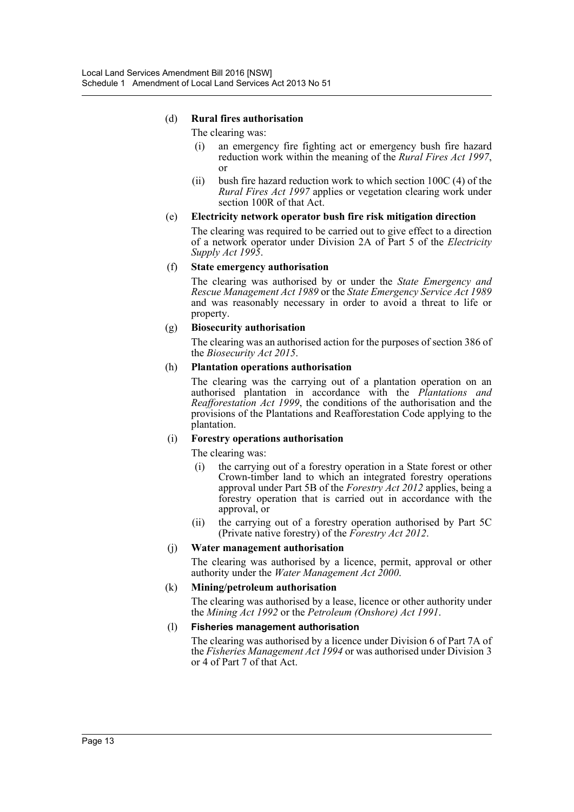## (d) **Rural fires authorisation**

The clearing was:

- (i) an emergency fire fighting act or emergency bush fire hazard reduction work within the meaning of the *Rural Fires Act 1997*, or
- (ii) bush fire hazard reduction work to which section  $100C(4)$  of the *Rural Fires Act 1997* applies or vegetation clearing work under section 100R of that Act.

### (e) **Electricity network operator bush fire risk mitigation direction**

The clearing was required to be carried out to give effect to a direction of a network operator under Division 2A of Part 5 of the *Electricity Supply Act 1995*.

#### (f) **State emergency authorisation**

The clearing was authorised by or under the *State Emergency and Rescue Management Act 1989* or the *State Emergency Service Act 1989* and was reasonably necessary in order to avoid a threat to life or property.

### (g) **Biosecurity authorisation**

The clearing was an authorised action for the purposes of section 386 of the *Biosecurity Act 2015*.

#### (h) **Plantation operations authorisation**

The clearing was the carrying out of a plantation operation on an authorised plantation in accordance with the *Plantations and Reafforestation Act 1999*, the conditions of the authorisation and the provisions of the Plantations and Reafforestation Code applying to the plantation.

#### (i) **Forestry operations authorisation**

The clearing was:

- (i) the carrying out of a forestry operation in a State forest or other Crown-timber land to which an integrated forestry operations approval under Part 5B of the *Forestry Act 2012* applies, being a forestry operation that is carried out in accordance with the approval, or
- (ii) the carrying out of a forestry operation authorised by Part 5C (Private native forestry) of the *Forestry Act 2012*.

#### (j) **Water management authorisation**

The clearing was authorised by a licence, permit, approval or other authority under the *Water Management Act 2000*.

#### (k) **Mining/petroleum authorisation**

The clearing was authorised by a lease, licence or other authority under the *Mining Act 1992* or the *Petroleum (Onshore) Act 1991*.

#### (l) **Fisheries management authorisation**

The clearing was authorised by a licence under Division 6 of Part 7A of the *Fisheries Management Act 1994* or was authorised under Division 3 or 4 of Part 7 of that Act.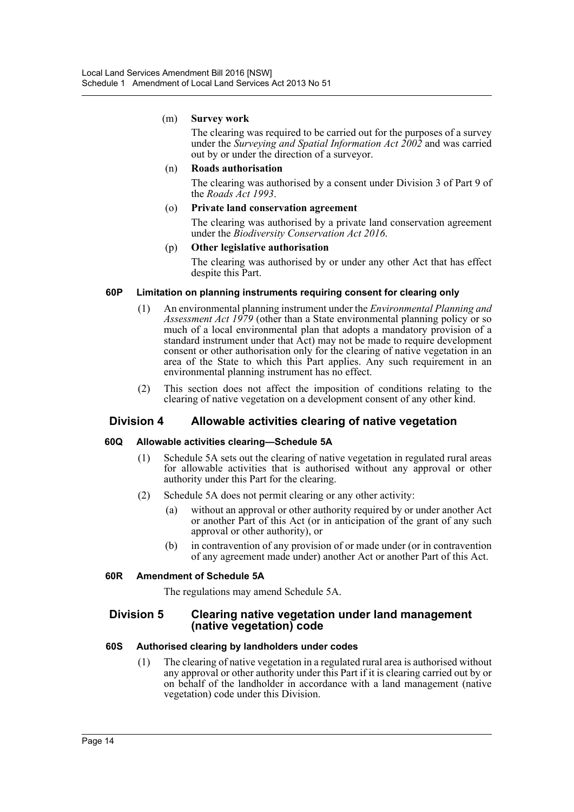#### (m) **Survey work**

The clearing was required to be carried out for the purposes of a survey under the *Surveying and Spatial Information Act 2002* and was carried out by or under the direction of a surveyor.

#### (n) **Roads authorisation**

The clearing was authorised by a consent under Division 3 of Part 9 of the *Roads Act 1993*.

#### (o) **Private land conservation agreement**

The clearing was authorised by a private land conservation agreement under the *Biodiversity Conservation Act 2016*.

#### (p) **Other legislative authorisation**

The clearing was authorised by or under any other Act that has effect despite this Part.

### **60P Limitation on planning instruments requiring consent for clearing only**

- (1) An environmental planning instrument under the *Environmental Planning and Assessment Act 1979* (other than a State environmental planning policy or so much of a local environmental plan that adopts a mandatory provision of a standard instrument under that Act) may not be made to require development consent or other authorisation only for the clearing of native vegetation in an area of the State to which this Part applies. Any such requirement in an environmental planning instrument has no effect.
- (2) This section does not affect the imposition of conditions relating to the clearing of native vegetation on a development consent of any other kind.

# **Division 4 Allowable activities clearing of native vegetation**

# **60Q Allowable activities clearing—Schedule 5A**

- (1) Schedule 5A sets out the clearing of native vegetation in regulated rural areas for allowable activities that is authorised without any approval or other authority under this Part for the clearing.
- (2) Schedule 5A does not permit clearing or any other activity:
	- (a) without an approval or other authority required by or under another Act or another Part of this Act (or in anticipation of the grant of any such approval or other authority), or
	- (b) in contravention of any provision of or made under (or in contravention of any agreement made under) another Act or another Part of this Act.

#### **60R Amendment of Schedule 5A**

The regulations may amend Schedule 5A.

### **Division 5 Clearing native vegetation under land management (native vegetation) code**

#### **60S Authorised clearing by landholders under codes**

(1) The clearing of native vegetation in a regulated rural area is authorised without any approval or other authority under this Part if it is clearing carried out by or on behalf of the landholder in accordance with a land management (native vegetation) code under this Division.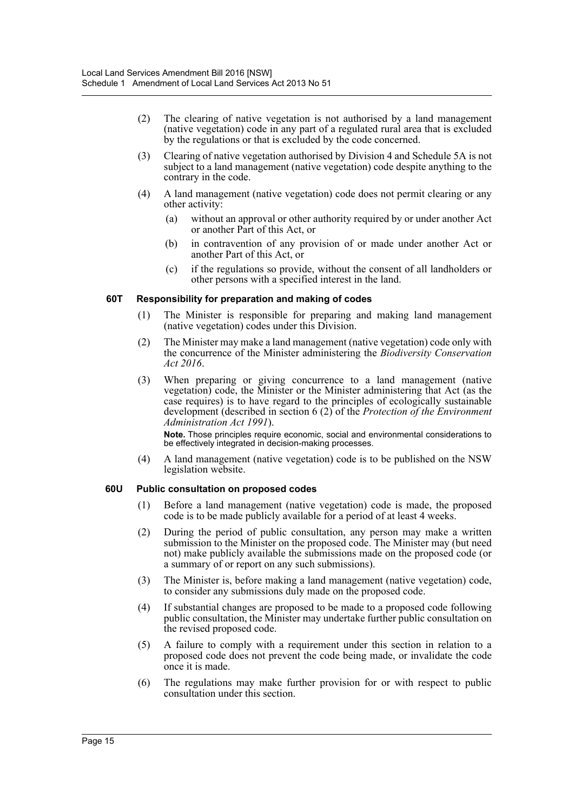- (2) The clearing of native vegetation is not authorised by a land management (native vegetation) code in any part of a regulated rural area that is excluded by the regulations or that is excluded by the code concerned.
- (3) Clearing of native vegetation authorised by Division 4 and Schedule 5A is not subject to a land management (native vegetation) code despite anything to the contrary in the code.
- (4) A land management (native vegetation) code does not permit clearing or any other activity:
	- (a) without an approval or other authority required by or under another Act or another Part of this Act, or
	- (b) in contravention of any provision of or made under another Act or another Part of this Act, or
	- (c) if the regulations so provide, without the consent of all landholders or other persons with a specified interest in the land.

#### **60T Responsibility for preparation and making of codes**

- (1) The Minister is responsible for preparing and making land management (native vegetation) codes under this Division.
- (2) The Minister may make a land management (native vegetation) code only with the concurrence of the Minister administering the *Biodiversity Conservation Act 2016*.
- (3) When preparing or giving concurrence to a land management (native vegetation) code, the Minister or the Minister administering that Act (as the case requires) is to have regard to the principles of ecologically sustainable development (described in section 6 (2) of the *Protection of the Environment Administration Act 1991*).

**Note.** Those principles require economic, social and environmental considerations to be effectively integrated in decision-making processes.

(4) A land management (native vegetation) code is to be published on the NSW legislation website.

#### **60U Public consultation on proposed codes**

- (1) Before a land management (native vegetation) code is made, the proposed code is to be made publicly available for a period of at least 4 weeks.
- (2) During the period of public consultation, any person may make a written submission to the Minister on the proposed code. The Minister may (but need not) make publicly available the submissions made on the proposed code (or a summary of or report on any such submissions).
- (3) The Minister is, before making a land management (native vegetation) code, to consider any submissions duly made on the proposed code.
- (4) If substantial changes are proposed to be made to a proposed code following public consultation, the Minister may undertake further public consultation on the revised proposed code.
- (5) A failure to comply with a requirement under this section in relation to a proposed code does not prevent the code being made, or invalidate the code once it is made.
- (6) The regulations may make further provision for or with respect to public consultation under this section.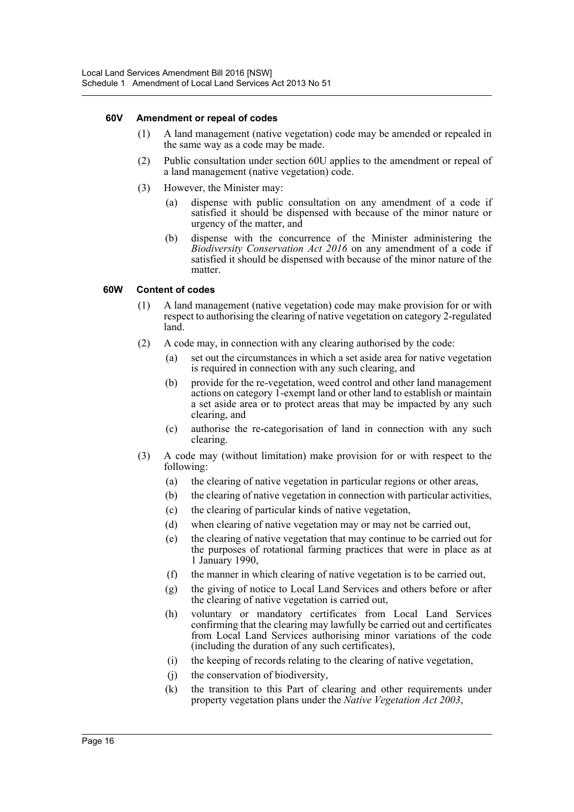#### **60V Amendment or repeal of codes**

- (1) A land management (native vegetation) code may be amended or repealed in the same way as a code may be made.
- (2) Public consultation under section 60U applies to the amendment or repeal of a land management (native vegetation) code.
- (3) However, the Minister may:
	- (a) dispense with public consultation on any amendment of a code if satisfied it should be dispensed with because of the minor nature or urgency of the matter, and
	- (b) dispense with the concurrence of the Minister administering the *Biodiversity Conservation Act 2016* on any amendment of a code if satisfied it should be dispensed with because of the minor nature of the matter.

#### **60W Content of codes**

- (1) A land management (native vegetation) code may make provision for or with respect to authorising the clearing of native vegetation on category 2-regulated land.
- (2) A code may, in connection with any clearing authorised by the code:
	- (a) set out the circumstances in which a set aside area for native vegetation is required in connection with any such clearing, and
	- (b) provide for the re-vegetation, weed control and other land management actions on category 1-exempt land or other land to establish or maintain a set aside area or to protect areas that may be impacted by any such clearing, and
	- (c) authorise the re-categorisation of land in connection with any such clearing.
- (3) A code may (without limitation) make provision for or with respect to the following:
	- (a) the clearing of native vegetation in particular regions or other areas,
	- (b) the clearing of native vegetation in connection with particular activities,
	- (c) the clearing of particular kinds of native vegetation,
	- (d) when clearing of native vegetation may or may not be carried out,
	- (e) the clearing of native vegetation that may continue to be carried out for the purposes of rotational farming practices that were in place as at 1 January 1990,
	- (f) the manner in which clearing of native vegetation is to be carried out,
	- (g) the giving of notice to Local Land Services and others before or after the clearing of native vegetation is carried out,
	- (h) voluntary or mandatory certificates from Local Land Services confirming that the clearing may lawfully be carried out and certificates from Local Land Services authorising minor variations of the code (including the duration of any such certificates),
	- (i) the keeping of records relating to the clearing of native vegetation,
	- (j) the conservation of biodiversity,
	- (k) the transition to this Part of clearing and other requirements under property vegetation plans under the *Native Vegetation Act 2003*,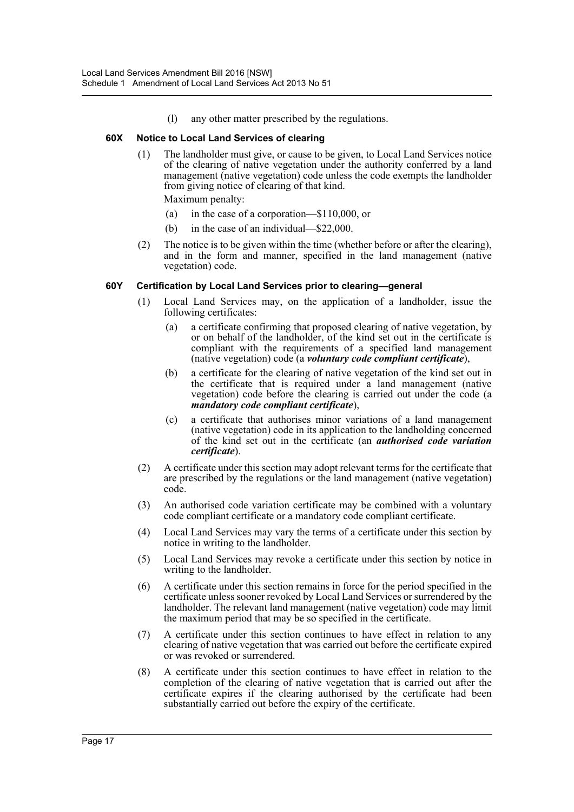(l) any other matter prescribed by the regulations.

### **60X Notice to Local Land Services of clearing**

(1) The landholder must give, or cause to be given, to Local Land Services notice of the clearing of native vegetation under the authority conferred by a land management (native vegetation) code unless the code exempts the landholder from giving notice of clearing of that kind.

Maximum penalty:

- (a) in the case of a corporation—\$110,000, or
- (b) in the case of an individual—\$22,000.
- (2) The notice is to be given within the time (whether before or after the clearing), and in the form and manner, specified in the land management (native vegetation) code.

# **60Y Certification by Local Land Services prior to clearing—general**

- (1) Local Land Services may, on the application of a landholder, issue the following certificates:
	- (a) a certificate confirming that proposed clearing of native vegetation, by or on behalf of the landholder, of the kind set out in the certificate is compliant with the requirements of a specified land management (native vegetation) code (a *voluntary code compliant certificate*),
	- (b) a certificate for the clearing of native vegetation of the kind set out in the certificate that is required under a land management (native vegetation) code before the clearing is carried out under the code (a *mandatory code compliant certificate*),
	- (c) a certificate that authorises minor variations of a land management (native vegetation) code in its application to the landholding concerned of the kind set out in the certificate (an *authorised code variation certificate*).
- (2) A certificate under this section may adopt relevant terms for the certificate that are prescribed by the regulations or the land management (native vegetation) code.
- (3) An authorised code variation certificate may be combined with a voluntary code compliant certificate or a mandatory code compliant certificate.
- (4) Local Land Services may vary the terms of a certificate under this section by notice in writing to the landholder.
- (5) Local Land Services may revoke a certificate under this section by notice in writing to the landholder.
- (6) A certificate under this section remains in force for the period specified in the certificate unless sooner revoked by Local Land Services or surrendered by the landholder. The relevant land management (native vegetation) code may limit the maximum period that may be so specified in the certificate.
- (7) A certificate under this section continues to have effect in relation to any clearing of native vegetation that was carried out before the certificate expired or was revoked or surrendered.
- (8) A certificate under this section continues to have effect in relation to the completion of the clearing of native vegetation that is carried out after the certificate expires if the clearing authorised by the certificate had been substantially carried out before the expiry of the certificate.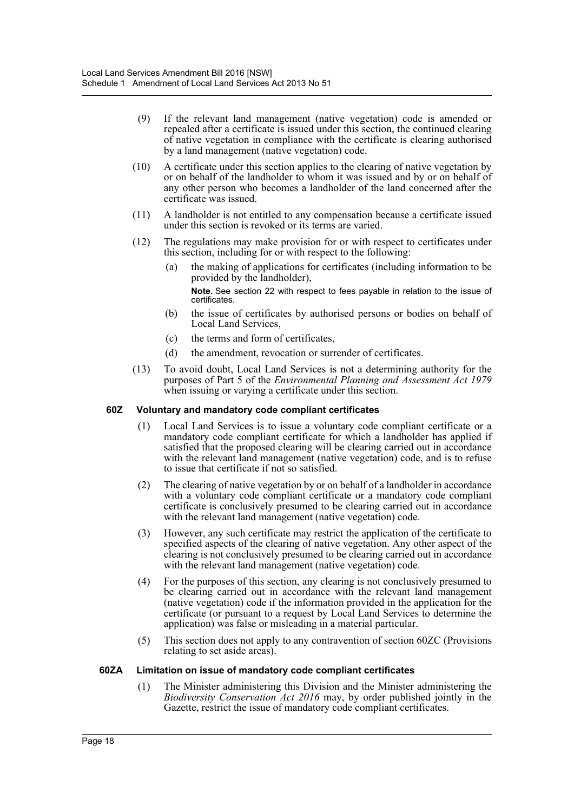- (9) If the relevant land management (native vegetation) code is amended or repealed after a certificate is issued under this section, the continued clearing of native vegetation in compliance with the certificate is clearing authorised by a land management (native vegetation) code.
- (10) A certificate under this section applies to the clearing of native vegetation by or on behalf of the landholder to whom it was issued and by or on behalf of any other person who becomes a landholder of the land concerned after the certificate was issued.
- (11) A landholder is not entitled to any compensation because a certificate issued under this section is revoked or its terms are varied.
- (12) The regulations may make provision for or with respect to certificates under this section, including for or with respect to the following:
	- (a) the making of applications for certificates (including information to be provided by the landholder), **Note.** See section 22 with respect to fees payable in relation to the issue of
	- certificates. (b) the issue of certificates by authorised persons or bodies on behalf of
	- Local Land Services,
	- (c) the terms and form of certificates,
	- (d) the amendment, revocation or surrender of certificates.
- (13) To avoid doubt, Local Land Services is not a determining authority for the purposes of Part 5 of the *Environmental Planning and Assessment Act 1979* when issuing or varying a certificate under this section.

## **60Z Voluntary and mandatory code compliant certificates**

- (1) Local Land Services is to issue a voluntary code compliant certificate or a mandatory code compliant certificate for which a landholder has applied if satisfied that the proposed clearing will be clearing carried out in accordance with the relevant land management (native vegetation) code, and is to refuse to issue that certificate if not so satisfied.
- (2) The clearing of native vegetation by or on behalf of a landholder in accordance with a voluntary code compliant certificate or a mandatory code compliant certificate is conclusively presumed to be clearing carried out in accordance with the relevant land management (native vegetation) code.
- (3) However, any such certificate may restrict the application of the certificate to specified aspects of the clearing of native vegetation. Any other aspect of the clearing is not conclusively presumed to be clearing carried out in accordance with the relevant land management (native vegetation) code.
- (4) For the purposes of this section, any clearing is not conclusively presumed to be clearing carried out in accordance with the relevant land management (native vegetation) code if the information provided in the application for the certificate (or pursuant to a request by Local Land Services to determine the application) was false or misleading in a material particular.
- (5) This section does not apply to any contravention of section 60ZC (Provisions relating to set aside areas).

# **60ZA Limitation on issue of mandatory code compliant certificates**

(1) The Minister administering this Division and the Minister administering the *Biodiversity Conservation Act 2016* may, by order published jointly in the Gazette, restrict the issue of mandatory code compliant certificates.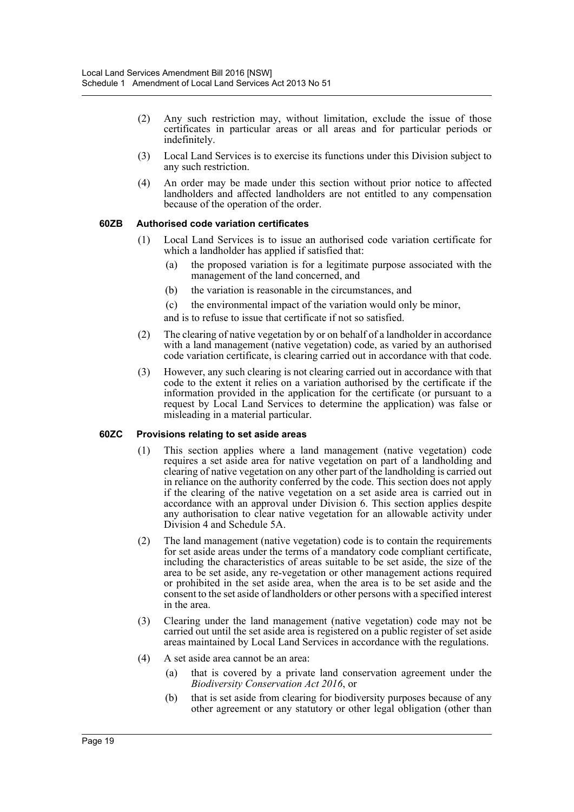- (2) Any such restriction may, without limitation, exclude the issue of those certificates in particular areas or all areas and for particular periods or indefinitely.
- (3) Local Land Services is to exercise its functions under this Division subject to any such restriction.
- (4) An order may be made under this section without prior notice to affected landholders and affected landholders are not entitled to any compensation because of the operation of the order.

#### **60ZB Authorised code variation certificates**

- (1) Local Land Services is to issue an authorised code variation certificate for which a landholder has applied if satisfied that:
	- (a) the proposed variation is for a legitimate purpose associated with the management of the land concerned, and
	- (b) the variation is reasonable in the circumstances, and
	- (c) the environmental impact of the variation would only be minor,
	- and is to refuse to issue that certificate if not so satisfied.
- (2) The clearing of native vegetation by or on behalf of a landholder in accordance with a land management (native vegetation) code, as varied by an authorised code variation certificate, is clearing carried out in accordance with that code.
- (3) However, any such clearing is not clearing carried out in accordance with that code to the extent it relies on a variation authorised by the certificate if the information provided in the application for the certificate (or pursuant to a request by Local Land Services to determine the application) was false or misleading in a material particular.

#### **60ZC Provisions relating to set aside areas**

- (1) This section applies where a land management (native vegetation) code requires a set aside area for native vegetation on part of a landholding and clearing of native vegetation on any other part of the landholding is carried out in reliance on the authority conferred by the code. This section does not apply if the clearing of the native vegetation on a set aside area is carried out in accordance with an approval under Division 6. This section applies despite any authorisation to clear native vegetation for an allowable activity under Division 4 and Schedule 5A.
- (2) The land management (native vegetation) code is to contain the requirements for set aside areas under the terms of a mandatory code compliant certificate, including the characteristics of areas suitable to be set aside, the size of the area to be set aside, any re-vegetation or other management actions required or prohibited in the set aside area, when the area is to be set aside and the consent to the set aside of landholders or other persons with a specified interest in the area.
- (3) Clearing under the land management (native vegetation) code may not be carried out until the set aside area is registered on a public register of set aside areas maintained by Local Land Services in accordance with the regulations.
- (4) A set aside area cannot be an area:
	- (a) that is covered by a private land conservation agreement under the *Biodiversity Conservation Act 2016*, or
	- (b) that is set aside from clearing for biodiversity purposes because of any other agreement or any statutory or other legal obligation (other than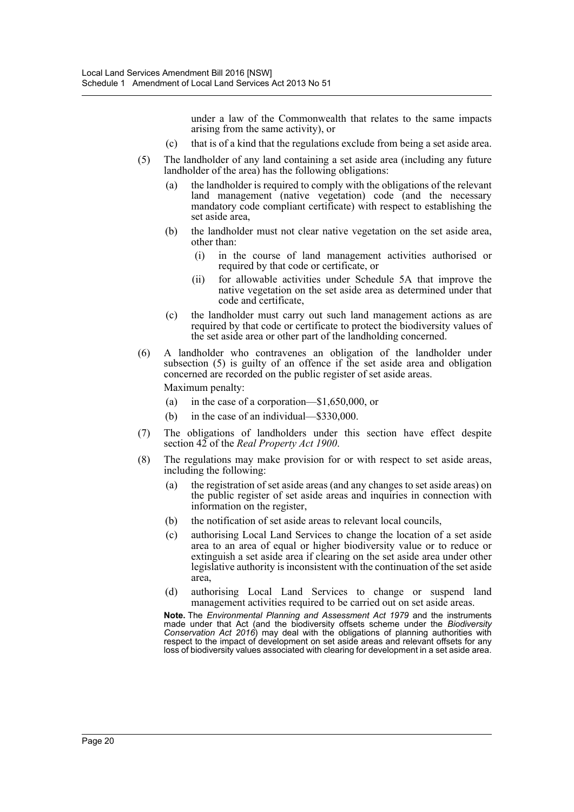under a law of the Commonwealth that relates to the same impacts arising from the same activity), or

- (c) that is of a kind that the regulations exclude from being a set aside area.
- (5) The landholder of any land containing a set aside area (including any future landholder of the area) has the following obligations:
	- (a) the landholder is required to comply with the obligations of the relevant land management (native vegetation) code (and the necessary mandatory code compliant certificate) with respect to establishing the set aside area,
	- (b) the landholder must not clear native vegetation on the set aside area, other than:
		- (i) in the course of land management activities authorised or required by that code or certificate, or
		- (ii) for allowable activities under Schedule 5A that improve the native vegetation on the set aside area as determined under that code and certificate,
	- (c) the landholder must carry out such land management actions as are required by that code or certificate to protect the biodiversity values of the set aside area or other part of the landholding concerned.
- (6) A landholder who contravenes an obligation of the landholder under subsection (5) is guilty of an offence if the set aside area and obligation concerned are recorded on the public register of set aside areas.

Maximum penalty:

- (a) in the case of a corporation—\$1,650,000, or
- (b) in the case of an individual—\$330,000.
- (7) The obligations of landholders under this section have effect despite section 42 of the *Real Property Act 1900*.
- (8) The regulations may make provision for or with respect to set aside areas, including the following:
	- (a) the registration of set aside areas (and any changes to set aside areas) on the public register of set aside areas and inquiries in connection with information on the register,
	- (b) the notification of set aside areas to relevant local councils,
	- (c) authorising Local Land Services to change the location of a set aside area to an area of equal or higher biodiversity value or to reduce or extinguish a set aside area if clearing on the set aside area under other legislative authority is inconsistent with the continuation of the set aside area,
	- (d) authorising Local Land Services to change or suspend land management activities required to be carried out on set aside areas.

**Note.** The *Environmental Planning and Assessment Act 1979* and the instruments made under that Act (and the biodiversity offsets scheme under the *Biodiversity Conservation Act 2016*) may deal with the obligations of planning authorities with respect to the impact of development on set aside areas and relevant offsets for any loss of biodiversity values associated with clearing for development in a set aside area.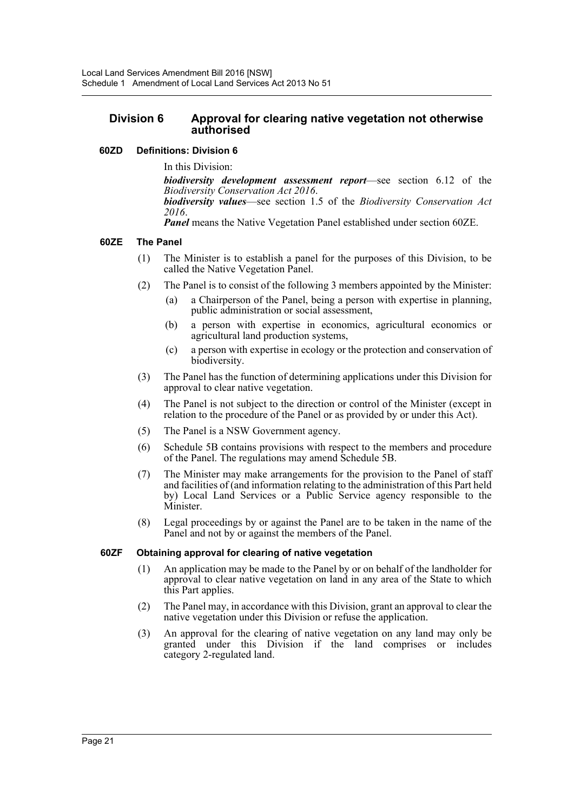# **Division 6 Approval for clearing native vegetation not otherwise authorised**

# **60ZD Definitions: Division 6**

In this Division:

*biodiversity development assessment report*—see section 6.12 of the *Biodiversity Conservation Act 2016*. *biodiversity values*—see section 1.5 of the *Biodiversity Conservation Act <sup>2016</sup>*. *Panel* means the Native Vegetation Panel established under section 60ZE.

### **60ZE The Panel**

- (1) The Minister is to establish a panel for the purposes of this Division, to be called the Native Vegetation Panel.
- (2) The Panel is to consist of the following 3 members appointed by the Minister:
	- (a) a Chairperson of the Panel, being a person with expertise in planning, public administration or social assessment,
	- (b) a person with expertise in economics, agricultural economics or agricultural land production systems,
	- (c) a person with expertise in ecology or the protection and conservation of biodiversity.
- (3) The Panel has the function of determining applications under this Division for approval to clear native vegetation.
- (4) The Panel is not subject to the direction or control of the Minister (except in relation to the procedure of the Panel or as provided by or under this Act).
- (5) The Panel is a NSW Government agency.
- (6) Schedule 5B contains provisions with respect to the members and procedure of the Panel. The regulations may amend Schedule 5B.
- (7) The Minister may make arrangements for the provision to the Panel of staff and facilities of (and information relating to the administration of this Part held by) Local Land Services or a Public Service agency responsible to the Minister.
- (8) Legal proceedings by or against the Panel are to be taken in the name of the Panel and not by or against the members of the Panel.

#### **60ZF Obtaining approval for clearing of native vegetation**

- (1) An application may be made to the Panel by or on behalf of the landholder for approval to clear native vegetation on land in any area of the State to which this Part applies.
- (2) The Panel may, in accordance with this Division, grant an approval to clear the native vegetation under this Division or refuse the application.
- (3) An approval for the clearing of native vegetation on any land may only be granted under this Division if the land comprises or includes category 2-regulated land.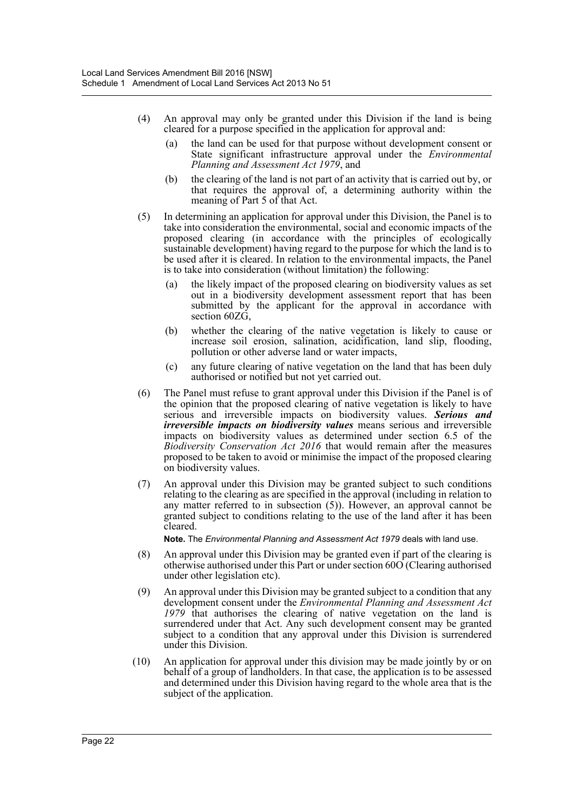- (4) An approval may only be granted under this Division if the land is being cleared for a purpose specified in the application for approval and:
	- (a) the land can be used for that purpose without development consent or State significant infrastructure approval under the *Environmental Planning and Assessment Act 1979*, and
	- (b) the clearing of the land is not part of an activity that is carried out by, or that requires the approval of, a determining authority within the meaning of Part 5 of that Act.
- (5) In determining an application for approval under this Division, the Panel is to take into consideration the environmental, social and economic impacts of the proposed clearing (in accordance with the principles of ecologically sustainable development) having regard to the purpose for which the land is to be used after it is cleared. In relation to the environmental impacts, the Panel is to take into consideration (without limitation) the following:
	- (a) the likely impact of the proposed clearing on biodiversity values as set out in a biodiversity development assessment report that has been submitted by the applicant for the approval in accordance with section 60ZG,
	- (b) whether the clearing of the native vegetation is likely to cause or increase soil erosion, salination, acidification, land slip, flooding, pollution or other adverse land or water impacts,
	- (c) any future clearing of native vegetation on the land that has been duly authorised or notified but not yet carried out.
- (6) The Panel must refuse to grant approval under this Division if the Panel is of the opinion that the proposed clearing of native vegetation is likely to have serious and irreversible impacts on biodiversity values. *Serious and irreversible impacts on biodiversity values* means serious and irreversible impacts on biodiversity values as determined under section 6.5 of the *Biodiversity Conservation Act 2016* that would remain after the measures proposed to be taken to avoid or minimise the impact of the proposed clearing on biodiversity values.
- (7) An approval under this Division may be granted subject to such conditions relating to the clearing as are specified in the approval (including in relation to any matter referred to in subsection (5)). However, an approval cannot be granted subject to conditions relating to the use of the land after it has been cleared.

**Note.** The *Environmental Planning and Assessment Act 1979* deals with land use.

- (8) An approval under this Division may be granted even if part of the clearing is otherwise authorised under this Part or under section 60O (Clearing authorised under other legislation etc).
- (9) An approval under this Division may be granted subject to a condition that any development consent under the *Environmental Planning and Assessment Act 1979* that authorises the clearing of native vegetation on the land is surrendered under that Act. Any such development consent may be granted subject to a condition that any approval under this Division is surrendered under this Division.
- (10) An application for approval under this division may be made jointly by or on behalf of a group of landholders. In that case, the application is to be assessed and determined under this Division having regard to the whole area that is the subject of the application.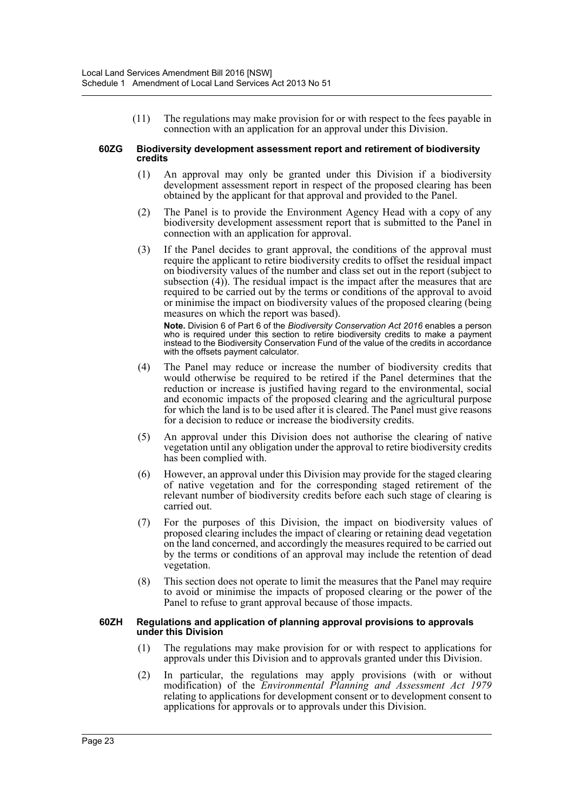(11) The regulations may make provision for or with respect to the fees payable in connection with an application for an approval under this Division.

#### **60ZG Biodiversity development assessment report and retirement of biodiversity credits**

- (1) An approval may only be granted under this Division if a biodiversity development assessment report in respect of the proposed clearing has been obtained by the applicant for that approval and provided to the Panel.
- (2) The Panel is to provide the Environment Agency Head with a copy of any biodiversity development assessment report that is submitted to the Panel in connection with an application for approval.
- (3) If the Panel decides to grant approval, the conditions of the approval must require the applicant to retire biodiversity credits to offset the residual impact on biodiversity values of the number and class set out in the report (subject to subsection (4)). The residual impact is the impact after the measures that are required to be carried out by the terms or conditions of the approval to avoid or minimise the impact on biodiversity values of the proposed clearing (being measures on which the report was based).

**Note.** Division 6 of Part 6 of the *Biodiversity Conservation Act 2016* enables a person who is required under this section to retire biodiversity credits to make a payment instead to the Biodiversity Conservation Fund of the value of the credits in accordance with the offsets payment calculator.

- (4) The Panel may reduce or increase the number of biodiversity credits that would otherwise be required to be retired if the Panel determines that the reduction or increase is justified having regard to the environmental, social and economic impacts of the proposed clearing and the agricultural purpose for which the land is to be used after it is cleared. The Panel must give reasons for a decision to reduce or increase the biodiversity credits.
- (5) An approval under this Division does not authorise the clearing of native vegetation until any obligation under the approval to retire biodiversity credits has been complied with.
- (6) However, an approval under this Division may provide for the staged clearing of native vegetation and for the corresponding staged retirement of the relevant number of biodiversity credits before each such stage of clearing is carried out.
- (7) For the purposes of this Division, the impact on biodiversity values of proposed clearing includes the impact of clearing or retaining dead vegetation on the land concerned, and accordingly the measures required to be carried out by the terms or conditions of an approval may include the retention of dead vegetation.
- (8) This section does not operate to limit the measures that the Panel may require to avoid or minimise the impacts of proposed clearing or the power of the Panel to refuse to grant approval because of those impacts.

#### **60ZH Regulations and application of planning approval provisions to approvals under this Division**

- (1) The regulations may make provision for or with respect to applications for approvals under this Division and to approvals granted under this Division.
- (2) In particular, the regulations may apply provisions (with or without modification) of the *Environmental Planning and Assessment Act 1979* relating to applications for development consent or to development consent to applications for approvals or to approvals under this Division.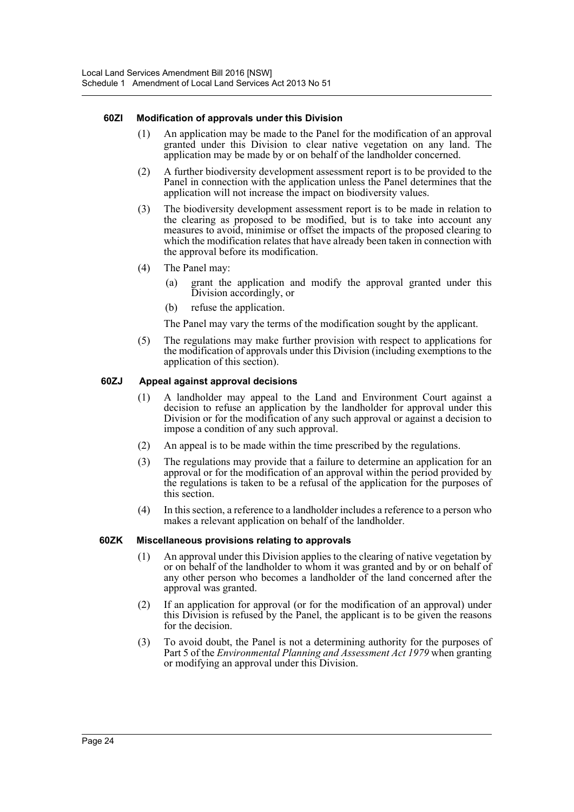#### **60ZI Modification of approvals under this Division**

- (1) An application may be made to the Panel for the modification of an approval granted under this Division to clear native vegetation on any land. The application may be made by or on behalf of the landholder concerned.
- (2) A further biodiversity development assessment report is to be provided to the Panel in connection with the application unless the Panel determines that the application will not increase the impact on biodiversity values.
- (3) The biodiversity development assessment report is to be made in relation to the clearing as proposed to be modified, but is to take into account any measures to avoid, minimise or offset the impacts of the proposed clearing to which the modification relates that have already been taken in connection with the approval before its modification.
- (4) The Panel may:
	- (a) grant the application and modify the approval granted under this Division accordingly, or
	- (b) refuse the application.

The Panel may vary the terms of the modification sought by the applicant.

(5) The regulations may make further provision with respect to applications for the modification of approvals under this Division (including exemptions to the application of this section).

#### **60ZJ Appeal against approval decisions**

- (1) A landholder may appeal to the Land and Environment Court against a decision to refuse an application by the landholder for approval under this Division or for the modification of any such approval or against a decision to impose a condition of any such approval.
- (2) An appeal is to be made within the time prescribed by the regulations.
- (3) The regulations may provide that a failure to determine an application for an approval or for the modification of an approval within the period provided by the regulations is taken to be a refusal of the application for the purposes of this section.
- (4) In this section, a reference to a landholder includes a reference to a person who makes a relevant application on behalf of the landholder.

#### **60ZK Miscellaneous provisions relating to approvals**

- (1) An approval under this Division applies to the clearing of native vegetation by or on behalf of the landholder to whom it was granted and by or on behalf of any other person who becomes a landholder of the land concerned after the approval was granted.
- (2) If an application for approval (or for the modification of an approval) under this Division is refused by the Panel, the applicant is to be given the reasons for the decision.
- (3) To avoid doubt, the Panel is not a determining authority for the purposes of Part 5 of the *Environmental Planning and Assessment Act 1979* when granting or modifying an approval under this Division.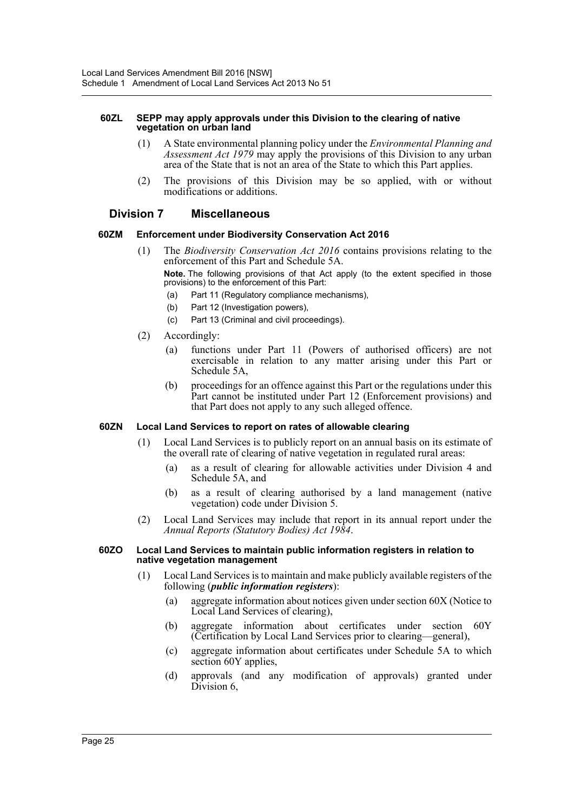#### **60ZL SEPP may apply approvals under this Division to the clearing of native vegetation on urban land**

- (1) A State environmental planning policy under the *Environmental Planning and Assessment Act 1979* may apply the provisions of this Division to any urban area of the State that is not an area of the State to which this Part applies.
- (2) The provisions of this Division may be so applied, with or without modifications or additions.

# **Division 7 Miscellaneous**

#### **60ZM Enforcement under Biodiversity Conservation Act 2016**

(1) The *Biodiversity Conservation Act 2016* contains provisions relating to the enforcement of this Part and Schedule 5A.

**Note.** The following provisions of that Act apply (to the extent specified in those provisions) to the enforcement of this Part:

- (a) Part 11 (Regulatory compliance mechanisms),
- (b) Part 12 (Investigation powers),
- (c) Part 13 (Criminal and civil proceedings).
- (2) Accordingly:
	- (a) functions under Part 11 (Powers of authorised officers) are not exercisable in relation to any matter arising under this Part or Schedule 5A,
	- (b) proceedings for an offence against this Part or the regulations under this Part cannot be instituted under Part 12 (Enforcement provisions) and that Part does not apply to any such alleged offence.

#### **60ZN Local Land Services to report on rates of allowable clearing**

- (1) Local Land Services is to publicly report on an annual basis on its estimate of the overall rate of clearing of native vegetation in regulated rural areas:
	- (a) as a result of clearing for allowable activities under Division 4 and Schedule 5A, and
	- (b) as a result of clearing authorised by a land management (native vegetation) code under Division 5.
- (2) Local Land Services may include that report in its annual report under the *Annual Reports (Statutory Bodies) Act 1984*.

#### **60ZO Local Land Services to maintain public information registers in relation to native vegetation management**

- (1) Local Land Services is to maintain and make publicly available registers of the following (*public information registers*):
	- (a) aggregate information about notices given under section 60X (Notice to Local Land Services of clearing),
	- (b) aggregate information about certificates under section 60Y (Certification by Local Land Services prior to clearing—general),
	- (c) aggregate information about certificates under Schedule 5A to which section 60Y applies,
	- (d) approvals (and any modification of approvals) granted under Division 6,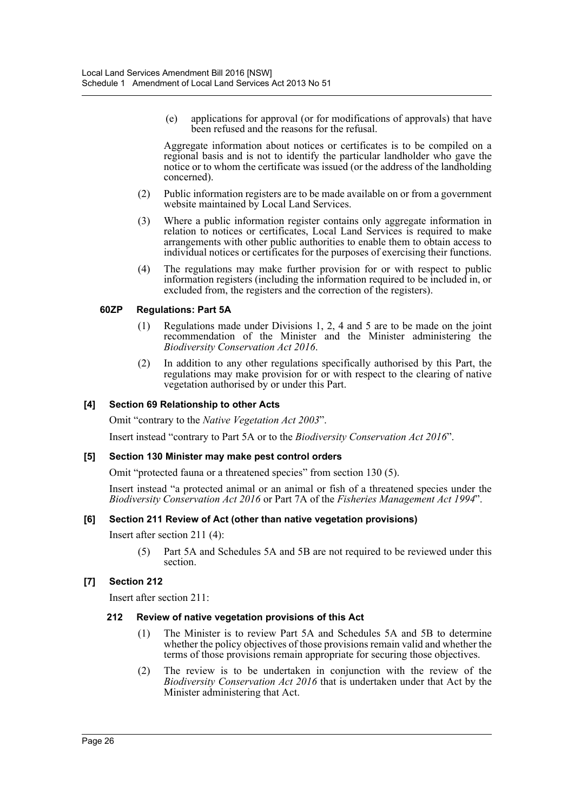(e) applications for approval (or for modifications of approvals) that have been refused and the reasons for the refusal.

Aggregate information about notices or certificates is to be compiled on a regional basis and is not to identify the particular landholder who gave the notice or to whom the certificate was issued (or the address of the landholding concerned).

- (2) Public information registers are to be made available on or from a government website maintained by Local Land Services.
- (3) Where a public information register contains only aggregate information in relation to notices or certificates, Local Land Services is required to make arrangements with other public authorities to enable them to obtain access to individual notices or certificates for the purposes of exercising their functions.
- (4) The regulations may make further provision for or with respect to public information registers (including the information required to be included in, or excluded from, the registers and the correction of the registers).

#### **60ZP Regulations: Part 5A**

- (1) Regulations made under Divisions 1, 2, 4 and 5 are to be made on the joint recommendation of the Minister and the Minister administering the *Biodiversity Conservation Act 2016*.
- (2) In addition to any other regulations specifically authorised by this Part, the regulations may make provision for or with respect to the clearing of native vegetation authorised by or under this Part.

### **[4] Section 69 Relationship to other Acts**

Omit "contrary to the *Native Vegetation Act 2003*".

Insert instead "contrary to Part 5A or to the *Biodiversity Conservation Act 2016*".

#### **[5] Section 130 Minister may make pest control orders**

Omit "protected fauna or a threatened species" from section 130 (5).

Insert instead "a protected animal or an animal or fish of a threatened species under the *Biodiversity Conservation Act 2016* or Part 7A of the *Fisheries Management Act 1994*".

#### **[6] Section 211 Review of Act (other than native vegetation provisions)**

Insert after section 211 (4):

(5) Part 5A and Schedules 5A and 5B are not required to be reviewed under this section.

# **[7] Section 212**

Insert after section 211:

#### **212 Review of native vegetation provisions of this Act**

- (1) The Minister is to review Part 5A and Schedules 5A and 5B to determine whether the policy objectives of those provisions remain valid and whether the terms of those provisions remain appropriate for securing those objectives.
- (2) The review is to be undertaken in conjunction with the review of the *Biodiversity Conservation Act 2016* that is undertaken under that Act by the Minister administering that Act.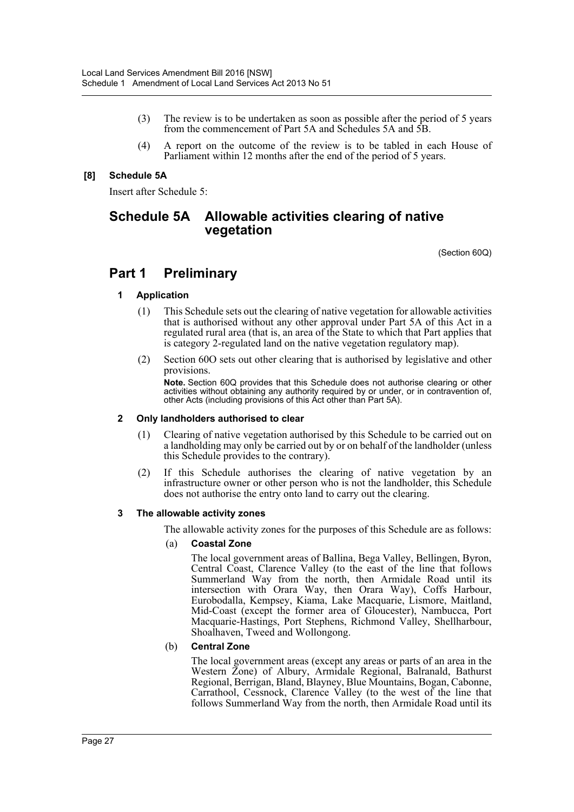- (3) The review is to be undertaken as soon as possible after the period of 5 years from the commencement of Part 5A and Schedules 5A and 5B.
- (4) A report on the outcome of the review is to be tabled in each House of Parliament within 12 months after the end of the period of 5 years.

## **[8] Schedule 5A**

Insert after Schedule 5:

# **Schedule 5A Allowable activities clearing of native vegetation**

(Section 60Q)

# **Part 1 Preliminary**

#### **1 Application**

- (1) This Schedule sets out the clearing of native vegetation for allowable activities that is authorised without any other approval under Part 5A of this Act in a regulated rural area (that is, an area of the State to which that Part applies that is category 2-regulated land on the native vegetation regulatory map).
- (2) Section 60O sets out other clearing that is authorised by legislative and other provisions.

**Note.** Section 60Q provides that this Schedule does not authorise clearing or other activities without obtaining any authority required by or under, or in contravention of, other Acts (including provisions of this Act other than Part 5A).

#### **2 Only landholders authorised to clear**

- (1) Clearing of native vegetation authorised by this Schedule to be carried out on a landholding may only be carried out by or on behalf of the landholder (unless this Schedule provides to the contrary).
- (2) If this Schedule authorises the clearing of native vegetation by an infrastructure owner or other person who is not the landholder, this Schedule does not authorise the entry onto land to carry out the clearing.

#### **3 The allowable activity zones**

The allowable activity zones for the purposes of this Schedule are as follows:

#### (a) **Coastal Zone**

The local government areas of Ballina, Bega Valley, Bellingen, Byron, Central Coast, Clarence Valley (to the east of the line that follows Summerland Way from the north, then Armidale Road until its intersection with Orara Way, then Orara Way), Coffs Harbour, Eurobodalla, Kempsey, Kiama, Lake Macquarie, Lismore, Maitland, Mid-Coast (except the former area of Gloucester), Nambucca, Port Macquarie-Hastings, Port Stephens, Richmond Valley, Shellharbour, Shoalhaven, Tweed and Wollongong.

#### (b) **Central Zone**

The local government areas (except any areas or parts of an area in the Western Zone) of Albury, Armidale Regional, Balranald, Bathurst Regional, Berrigan, Bland, Blayney, Blue Mountains, Bogan, Cabonne, Carrathool, Cessnock, Clarence Valley (to the west of the line that follows Summerland Way from the north, then Armidale Road until its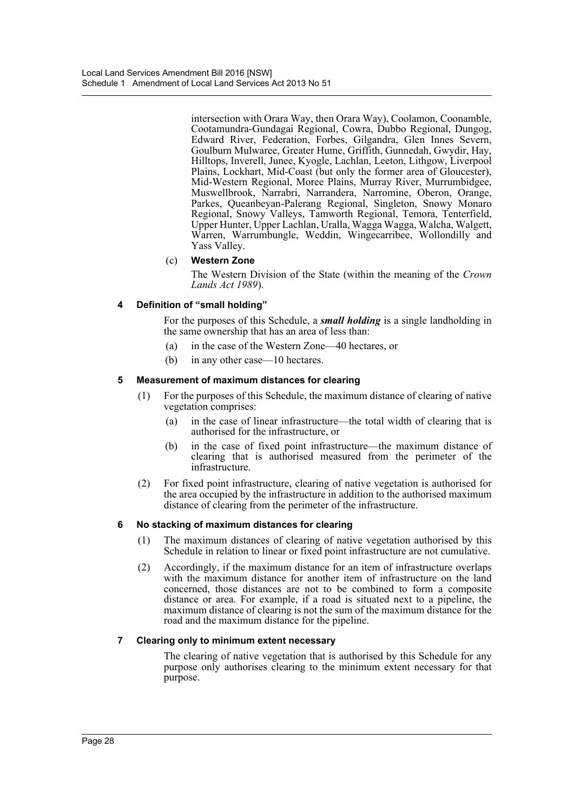intersection with Orara Way, then Orara Way), Coolamon, Coonamble, Cootamundra-Gundagai Regional, Cowra, Dubbo Regional, Dungog, Edward River, Federation, Forbes, Gilgandra, Glen Innes Severn, Goulburn Mulwaree, Greater Hume, Griffith, Gunnedah, Gwydir, Hay, Hilltops, Inverell, Junee, Kyogle, Lachlan, Leeton, Lithgow, Liverpool Plains, Lockhart, Mid-Coast (but only the former area of Gloucester), Mid-Western Regional, Moree Plains, Murray River, Murrumbidgee, Muswellbrook, Narrabri, Narrandera, Narromine, Oberon, Orange, Parkes, Queanbeyan-Palerang Regional, Singleton, Snowy Monaro Regional, Snowy Valleys, Tamworth Regional, Temora, Tenterfield, Upper Hunter, Upper Lachlan, Uralla, Wagga Wagga, Walcha, Walgett, Warren, Warrumbungle, Weddin, Wingecarribee, Wollondilly and Yass Valley.

# (c) **Western Zone**

The Western Division of the State (within the meaning of the *Crown Lands Act 1989*).

### **4 Definition of "small holding"**

For the purposes of this Schedule, a *small holding* is a single landholding in the same ownership that has an area of less than:

- (a) in the case of the Western Zone—40 hectares, or
- (b) in any other case—10 hectares.

### **5 Measurement of maximum distances for clearing**

- (1) For the purposes of this Schedule, the maximum distance of clearing of native vegetation comprises:
	- (a) in the case of linear infrastructure—the total width of clearing that is authorised for the infrastructure, or
	- (b) in the case of fixed point infrastructure—the maximum distance of clearing that is authorised measured from the perimeter of the infrastructure.
- (2) For fixed point infrastructure, clearing of native vegetation is authorised for the area occupied by the infrastructure in addition to the authorised maximum distance of clearing from the perimeter of the infrastructure.

#### **6 No stacking of maximum distances for clearing**

- (1) The maximum distances of clearing of native vegetation authorised by this Schedule in relation to linear or fixed point infrastructure are not cumulative.
- (2) Accordingly, if the maximum distance for an item of infrastructure overlaps with the maximum distance for another item of infrastructure on the land concerned, those distances are not to be combined to form a composite distance or area. For example, if a road is situated next to a pipeline, the maximum distance of clearing is not the sum of the maximum distance for the road and the maximum distance for the pipeline.

# **7 Clearing only to minimum extent necessary**

The clearing of native vegetation that is authorised by this Schedule for any purpose only authorises clearing to the minimum extent necessary for that purpose.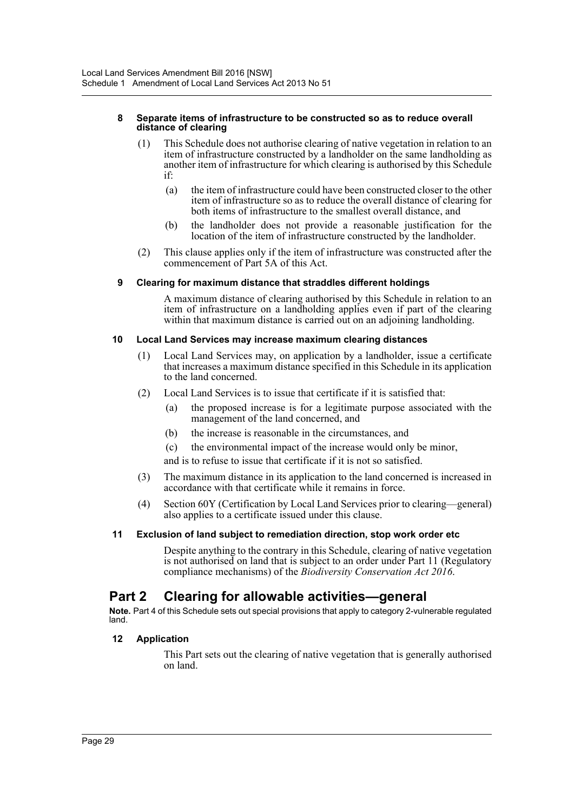#### **8 Separate items of infrastructure to be constructed so as to reduce overall distance of clearing**

- (1) This Schedule does not authorise clearing of native vegetation in relation to an item of infrastructure constructed by a landholder on the same landholding as another item of infrastructure for which clearing is authorised by this Schedule if:
	- (a) the item of infrastructure could have been constructed closer to the other item of infrastructure so as to reduce the overall distance of clearing for both items of infrastructure to the smallest overall distance, and
	- (b) the landholder does not provide a reasonable justification for the location of the item of infrastructure constructed by the landholder.
- (2) This clause applies only if the item of infrastructure was constructed after the commencement of Part 5A of this Act.

### **9 Clearing for maximum distance that straddles different holdings**

A maximum distance of clearing authorised by this Schedule in relation to an item of infrastructure on a landholding applies even if part of the clearing within that maximum distance is carried out on an adjoining landholding.

#### **10 Local Land Services may increase maximum clearing distances**

- (1) Local Land Services may, on application by a landholder, issue a certificate that increases a maximum distance specified in this Schedule in its application to the land concerned.
- (2) Local Land Services is to issue that certificate if it is satisfied that:
	- (a) the proposed increase is for a legitimate purpose associated with the management of the land concerned, and
	- (b) the increase is reasonable in the circumstances, and
	- (c) the environmental impact of the increase would only be minor,

and is to refuse to issue that certificate if it is not so satisfied.

- (3) The maximum distance in its application to the land concerned is increased in accordance with that certificate while it remains in force.
- (4) Section 60Y (Certification by Local Land Services prior to clearing—general) also applies to a certificate issued under this clause.

#### **11 Exclusion of land subject to remediation direction, stop work order etc**

Despite anything to the contrary in this Schedule, clearing of native vegetation is not authorised on land that is subject to an order under Part 11 (Regulatory compliance mechanisms) of the *Biodiversity Conservation Act 2016*.

# **Part 2 Clearing for allowable activities—general**

**Note.** Part 4 of this Schedule sets out special provisions that apply to category 2-vulnerable regulated land.

#### **12 Application**

This Part sets out the clearing of native vegetation that is generally authorised on land.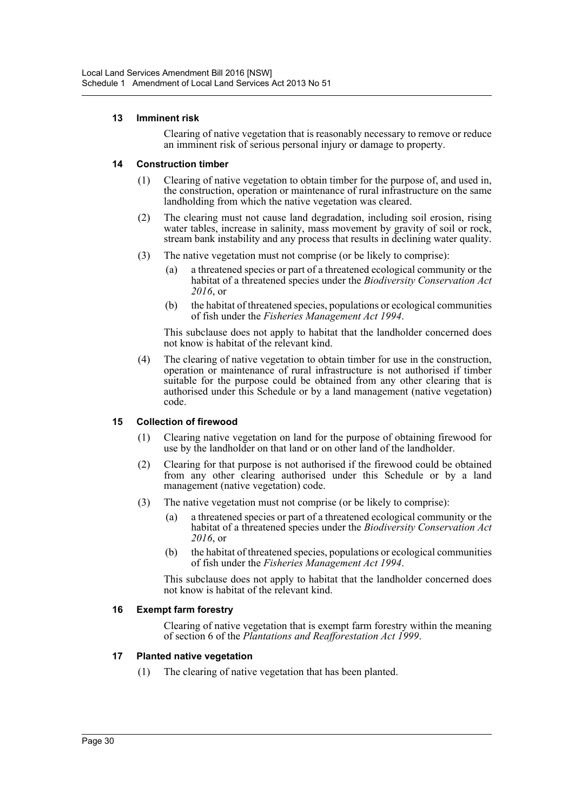#### **13 Imminent risk**

Clearing of native vegetation that is reasonably necessary to remove or reduce an imminent risk of serious personal injury or damage to property.

#### **14 Construction timber**

- (1) Clearing of native vegetation to obtain timber for the purpose of, and used in, the construction, operation or maintenance of rural infrastructure on the same landholding from which the native vegetation was cleared.
- (2) The clearing must not cause land degradation, including soil erosion, rising water tables, increase in salinity, mass movement by gravity of soil or rock, stream bank instability and any process that results in declining water quality.
- (3) The native vegetation must not comprise (or be likely to comprise):
	- (a) a threatened species or part of a threatened ecological community or the habitat of a threatened species under the *Biodiversity Conservation Act 2016*, or
	- (b) the habitat of threatened species, populations or ecological communities of fish under the *Fisheries Management Act 1994*.

This subclause does not apply to habitat that the landholder concerned does not know is habitat of the relevant kind.

(4) The clearing of native vegetation to obtain timber for use in the construction, operation or maintenance of rural infrastructure is not authorised if timber suitable for the purpose could be obtained from any other clearing that is authorised under this Schedule or by a land management (native vegetation) code.

# **15 Collection of firewood**

- (1) Clearing native vegetation on land for the purpose of obtaining firewood for use by the landholder on that land or on other land of the landholder.
- (2) Clearing for that purpose is not authorised if the firewood could be obtained from any other clearing authorised under this Schedule or by a land management (native vegetation) code.
- (3) The native vegetation must not comprise (or be likely to comprise):
	- (a) a threatened species or part of a threatened ecological community or the habitat of a threatened species under the *Biodiversity Conservation Act 2016*, or
	- (b) the habitat of threatened species, populations or ecological communities of fish under the *Fisheries Management Act 1994*.

This subclause does not apply to habitat that the landholder concerned does not know is habitat of the relevant kind.

#### **16 Exempt farm forestry**

Clearing of native vegetation that is exempt farm forestry within the meaning of section 6 of the *Plantations and Reafforestation Act 1999*.

# **17 Planted native vegetation**

(1) The clearing of native vegetation that has been planted.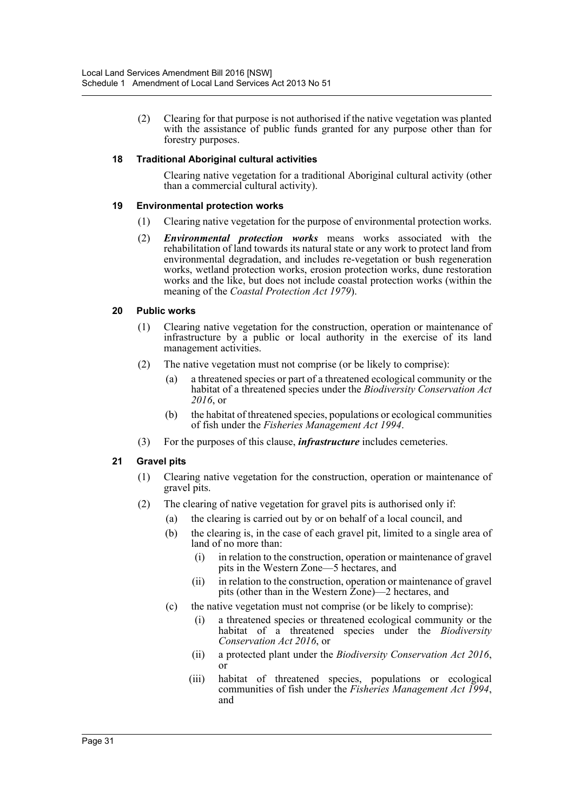(2) Clearing for that purpose is not authorised if the native vegetation was planted with the assistance of public funds granted for any purpose other than for forestry purposes.

### **18 Traditional Aboriginal cultural activities**

Clearing native vegetation for a traditional Aboriginal cultural activity (other than a commercial cultural activity).

#### **19 Environmental protection works**

- (1) Clearing native vegetation for the purpose of environmental protection works.
- (2) *Environmental protection works* means works associated with the rehabilitation of land towards its natural state or any work to protect land from environmental degradation, and includes re-vegetation or bush regeneration works, wetland protection works, erosion protection works, dune restoration works and the like, but does not include coastal protection works (within the meaning of the *Coastal Protection Act 1979*).

### **20 Public works**

- (1) Clearing native vegetation for the construction, operation or maintenance of infrastructure by a public or local authority in the exercise of its land management activities.
- (2) The native vegetation must not comprise (or be likely to comprise):
	- (a) a threatened species or part of a threatened ecological community or the habitat of a threatened species under the *Biodiversity Conservation Act 2016*, or
	- (b) the habitat of threatened species, populations or ecological communities of fish under the *Fisheries Management Act 1994*.
- (3) For the purposes of this clause, *infrastructure* includes cemeteries.

# **21 Gravel pits**

- (1) Clearing native vegetation for the construction, operation or maintenance of gravel pits.
- (2) The clearing of native vegetation for gravel pits is authorised only if:
	- (a) the clearing is carried out by or on behalf of a local council, and
		- (b) the clearing is, in the case of each gravel pit, limited to a single area of land of no more than:
			- (i) in relation to the construction, operation or maintenance of gravel pits in the Western Zone—5 hectares, and
			- (ii) in relation to the construction, operation or maintenance of gravel pits (other than in the Western Zone)—2 hectares, and
		- (c) the native vegetation must not comprise (or be likely to comprise):
			- (i) a threatened species or threatened ecological community or the habitat of a threatened species under the *Biodiversity Conservation Act 2016*, or
			- (ii) a protected plant under the *Biodiversity Conservation Act 2016*, or
			- (iii) habitat of threatened species, populations or ecological communities of fish under the *Fisheries Management Act 1994*, and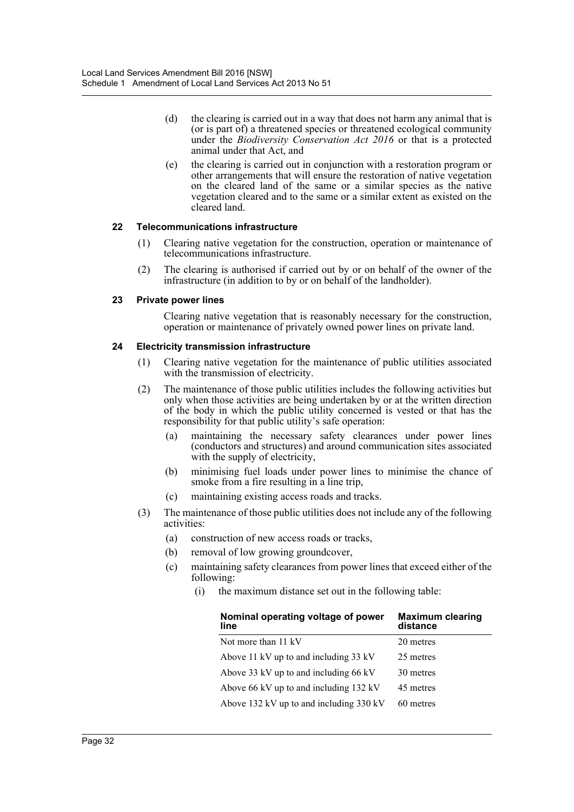- (d) the clearing is carried out in a way that does not harm any animal that is (or is part of) a threatened species or threatened ecological community under the *Biodiversity Conservation Act 2016* or that is a protected animal under that Act, and
- (e) the clearing is carried out in conjunction with a restoration program or other arrangements that will ensure the restoration of native vegetation on the cleared land of the same or a similar species as the native vegetation cleared and to the same or a similar extent as existed on the cleared land.

### **22 Telecommunications infrastructure**

- (1) Clearing native vegetation for the construction, operation or maintenance of telecommunications infrastructure.
- (2) The clearing is authorised if carried out by or on behalf of the owner of the infrastructure (in addition to by or on behalf of the landholder).

### **23 Private power lines**

Clearing native vegetation that is reasonably necessary for the construction, operation or maintenance of privately owned power lines on private land.

### **24 Electricity transmission infrastructure**

- (1) Clearing native vegetation for the maintenance of public utilities associated with the transmission of electricity.
- (2) The maintenance of those public utilities includes the following activities but only when those activities are being undertaken by or at the written direction of the body in which the public utility concerned is vested or that has the responsibility for that public utility's safe operation:
	- (a) maintaining the necessary safety clearances under power lines (conductors and structures) and around communication sites associated with the supply of electricity,
	- (b) minimising fuel loads under power lines to minimise the chance of smoke from a fire resulting in a line trip,
	- (c) maintaining existing access roads and tracks.
- (3) The maintenance of those public utilities does not include any of the following activities:
	- (a) construction of new access roads or tracks,
	- (b) removal of low growing groundcover,
	- (c) maintaining safety clearances from power lines that exceed either of the following:
		- (i) the maximum distance set out in the following table:

| Nominal operating voltage of power<br>line | <b>Maximum clearing</b><br>distance |
|--------------------------------------------|-------------------------------------|
| Not more than 11 kV                        | 20 metres                           |
| Above 11 kV up to and including 33 kV      | 25 metres                           |
| Above 33 kV up to and including 66 kV      | 30 metres                           |
| Above 66 kV up to and including 132 kV     | 45 metres                           |
| Above 132 kV up to and including 330 kV    | 60 metres                           |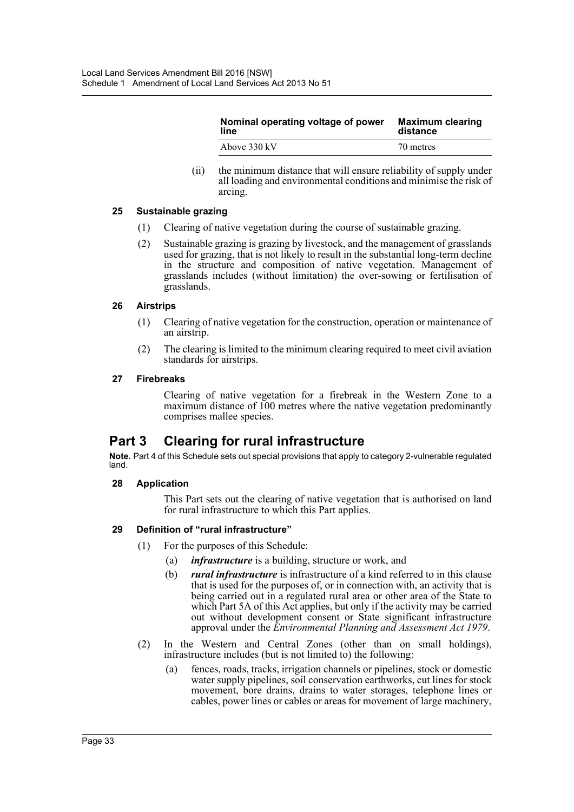| Nominal operating voltage of power | <b>Maximum clearing</b> |
|------------------------------------|-------------------------|
| line                               | distance                |
| Above 330 kV                       | 70 metres               |

(ii) the minimum distance that will ensure reliability of supply under all loading and environmental conditions and minimise the risk of arcing.

#### **25 Sustainable grazing**

- (1) Clearing of native vegetation during the course of sustainable grazing.
- (2) Sustainable grazing is grazing by livestock, and the management of grasslands used for grazing, that is not likely to result in the substantial long-term decline in the structure and composition of native vegetation. Management of grasslands includes (without limitation) the over-sowing or fertilisation of grasslands.

### **26 Airstrips**

- (1) Clearing of native vegetation for the construction, operation or maintenance of an airstrip.
- (2) The clearing is limited to the minimum clearing required to meet civil aviation standards for airstrips.

### **27 Firebreaks**

Clearing of native vegetation for a firebreak in the Western Zone to a maximum distance of 100 metres where the native vegetation predominantly comprises mallee species.

# **Part 3 Clearing for rural infrastructure**

**Note.** Part 4 of this Schedule sets out special provisions that apply to category 2-vulnerable regulated land.

# **28 Application**

This Part sets out the clearing of native vegetation that is authorised on land for rural infrastructure to which this Part applies.

# **29 Definition of "rural infrastructure"**

- (1) For the purposes of this Schedule:
	- (a) *infrastructure* is a building, structure or work, and
	- (b) *rural infrastructure* is infrastructure of a kind referred to in this clause that is used for the purposes of, or in connection with, an activity that is being carried out in a regulated rural area or other area of the State to which Part 5A of this Act applies, but only if the activity may be carried out without development consent or State significant infrastructure approval under the *Environmental Planning and Assessment Act 1979*.
- (2) In the Western and Central Zones (other than on small holdings), infrastructure includes (but is not limited to) the following:
	- (a) fences, roads, tracks, irrigation channels or pipelines, stock or domestic water supply pipelines, soil conservation earthworks, cut lines for stock movement, bore drains, drains to water storages, telephone lines or cables, power lines or cables or areas for movement of large machinery,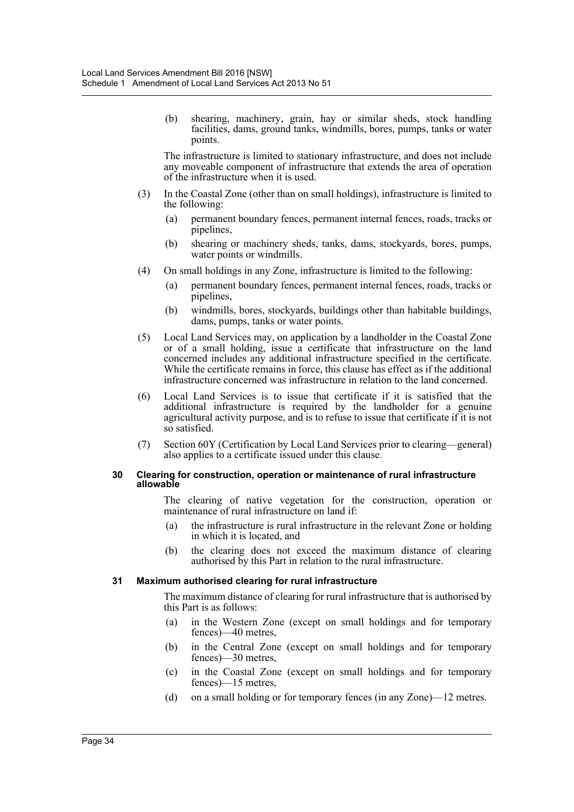(b) shearing, machinery, grain, hay or similar sheds, stock handling facilities, dams, ground tanks, windmills, bores, pumps, tanks or water points.

The infrastructure is limited to stationary infrastructure, and does not include any moveable component of infrastructure that extends the area of operation of the infrastructure when it is used.

- (3) In the Coastal Zone (other than on small holdings), infrastructure is limited to the following:
	- (a) permanent boundary fences, permanent internal fences, roads, tracks or pipelines,
	- (b) shearing or machinery sheds, tanks, dams, stockyards, bores, pumps, water points or windmills.
- (4) On small holdings in any Zone, infrastructure is limited to the following:
	- (a) permanent boundary fences, permanent internal fences, roads, tracks or pipelines,
	- (b) windmills, bores, stockyards, buildings other than habitable buildings, dams, pumps, tanks or water points.
- (5) Local Land Services may, on application by a landholder in the Coastal Zone or of a small holding, issue a certificate that infrastructure on the land concerned includes any additional infrastructure specified in the certificate. While the certificate remains in force, this clause has effect as if the additional infrastructure concerned was infrastructure in relation to the land concerned.
- (6) Local Land Services is to issue that certificate if it is satisfied that the additional infrastructure is required by the landholder for a genuine agricultural activity purpose, and is to refuse to issue that certificate if it is not so satisfied.
- (7) Section 60Y (Certification by Local Land Services prior to clearing—general) also applies to a certificate issued under this clause.

#### **30 Clearing for construction, operation or maintenance of rural infrastructure allowable**

The clearing of native vegetation for the construction, operation or maintenance of rural infrastructure on land if:

- (a) the infrastructure is rural infrastructure in the relevant Zone or holding in which it is located, and
- (b) the clearing does not exceed the maximum distance of clearing authorised by this Part in relation to the rural infrastructure.

#### **31 Maximum authorised clearing for rural infrastructure**

The maximum distance of clearing for rural infrastructure that is authorised by this Part is as follows:

- (a) in the Western Zone (except on small holdings and for temporary fences)—40 metres,
- (b) in the Central Zone (except on small holdings and for temporary fences)—30 metres,
- (c) in the Coastal Zone (except on small holdings and for temporary fences)—15 metres,
- (d) on a small holding or for temporary fences (in any Zone)—12 metres.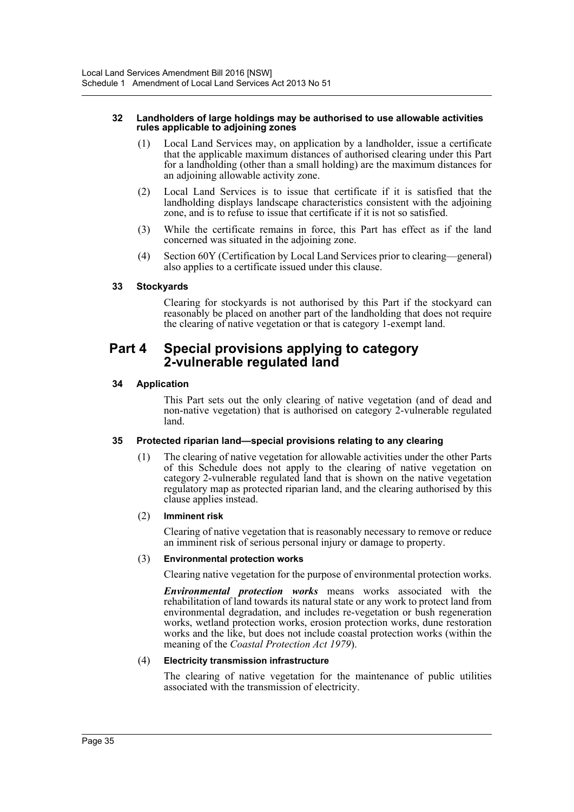#### **32 Landholders of large holdings may be authorised to use allowable activities rules applicable to adjoining zones**

- (1) Local Land Services may, on application by a landholder, issue a certificate that the applicable maximum distances of authorised clearing under this Part for a landholding (other than a small holding) are the maximum distances for an adjoining allowable activity zone.
- (2) Local Land Services is to issue that certificate if it is satisfied that the landholding displays landscape characteristics consistent with the adjoining zone, and is to refuse to issue that certificate if it is not so satisfied.
- (3) While the certificate remains in force, this Part has effect as if the land concerned was situated in the adjoining zone.
- (4) Section 60Y (Certification by Local Land Services prior to clearing—general) also applies to a certificate issued under this clause.

### **33 Stockyards**

Clearing for stockyards is not authorised by this Part if the stockyard can reasonably be placed on another part of the landholding that does not require the clearing of native vegetation or that is category 1-exempt land.

# **Part 4 Special provisions applying to category 2-vulnerable regulated land**

### **34 Application**

This Part sets out the only clearing of native vegetation (and of dead and non-native vegetation) that is authorised on category 2-vulnerable regulated land.

#### **35 Protected riparian land—special provisions relating to any clearing**

(1) The clearing of native vegetation for allowable activities under the other Parts of this Schedule does not apply to the clearing of native vegetation on category 2-vulnerable regulated land that is shown on the native vegetation regulatory map as protected riparian land, and the clearing authorised by this clause applies instead.

#### (2) **Imminent risk**

Clearing of native vegetation that is reasonably necessary to remove or reduce an imminent risk of serious personal injury or damage to property.

#### (3) **Environmental protection works**

Clearing native vegetation for the purpose of environmental protection works.

*Environmental protection works* means works associated with the rehabilitation of land towards its natural state or any work to protect land from environmental degradation, and includes re-vegetation or bush regeneration works, wetland protection works, erosion protection works, dune restoration works and the like, but does not include coastal protection works (within the meaning of the *Coastal Protection Act 1979*).

#### (4) **Electricity transmission infrastructure**

The clearing of native vegetation for the maintenance of public utilities associated with the transmission of electricity.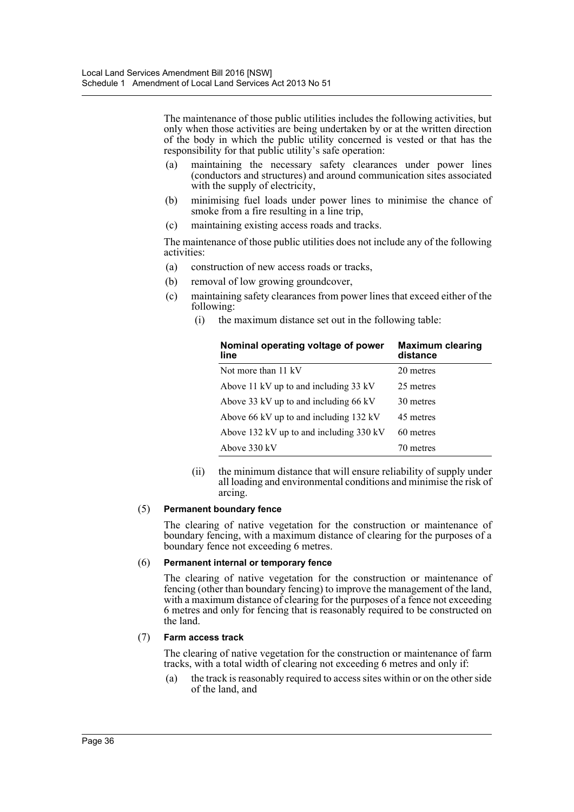The maintenance of those public utilities includes the following activities, but only when those activities are being undertaken by or at the written direction of the body in which the public utility concerned is vested or that has the responsibility for that public utility's safe operation:

- (a) maintaining the necessary safety clearances under power lines (conductors and structures) and around communication sites associated with the supply of electricity,
- (b) minimising fuel loads under power lines to minimise the chance of smoke from a fire resulting in a line trip,
- (c) maintaining existing access roads and tracks.

The maintenance of those public utilities does not include any of the following activities:

- (a) construction of new access roads or tracks,
- (b) removal of low growing groundcover,
- (c) maintaining safety clearances from power lines that exceed either of the following:
	- (i) the maximum distance set out in the following table:

| Nominal operating voltage of power<br>line | <b>Maximum clearing</b><br>distance |
|--------------------------------------------|-------------------------------------|
| Not more than 11 kV                        | 20 metres                           |
| Above 11 kV up to and including 33 kV      | 25 metres                           |
| Above 33 kV up to and including 66 kV      | 30 metres                           |
| Above 66 kV up to and including 132 kV     | 45 metres                           |
| Above 132 kV up to and including 330 kV    | 60 metres                           |
| Above 330 kV                               | 70 metres                           |

(ii) the minimum distance that will ensure reliability of supply under all loading and environmental conditions and minimise the risk of arcing.

#### (5) **Permanent boundary fence**

The clearing of native vegetation for the construction or maintenance of boundary fencing, with a maximum distance of clearing for the purposes of a boundary fence not exceeding 6 metres.

#### (6) **Permanent internal or temporary fence**

The clearing of native vegetation for the construction or maintenance of fencing (other than boundary fencing) to improve the management of the land, with a maximum distance of clearing for the purposes of a fence not exceeding 6 metres and only for fencing that is reasonably required to be constructed on the land.

#### (7) **Farm access track**

The clearing of native vegetation for the construction or maintenance of farm tracks, with a total width of clearing not exceeding 6 metres and only if:

(a) the track is reasonably required to access sites within or on the other side of the land, and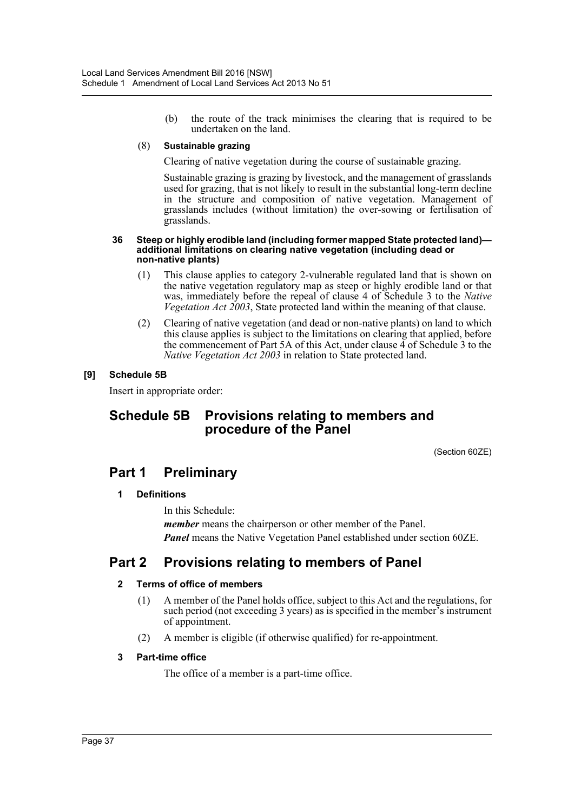(b) the route of the track minimises the clearing that is required to be undertaken on the land.

#### (8) **Sustainable grazing**

Clearing of native vegetation during the course of sustainable grazing.

Sustainable grazing is grazing by livestock, and the management of grasslands used for grazing, that is not likely to result in the substantial long-term decline in the structure and composition of native vegetation. Management of grasslands includes (without limitation) the over-sowing or fertilisation of grasslands.

#### **36 Steep or highly erodible land (including former mapped State protected land) additional limitations on clearing native vegetation (including dead or non-native plants)**

- (1) This clause applies to category 2-vulnerable regulated land that is shown on the native vegetation regulatory map as steep or highly erodible land or that was, immediately before the repeal of clause 4 of Schedule 3 to the *Native Vegetation Act 2003*, State protected land within the meaning of that clause.
- (2) Clearing of native vegetation (and dead or non-native plants) on land to which this clause applies is subject to the limitations on clearing that applied, before the commencement of Part 5A of this Act, under clause 4 of Schedule 3 to the *Native Vegetation Act 2003* in relation to State protected land.

# **[9] Schedule 5B**

Insert in appropriate order:

# **Schedule 5B Provisions relating to members and procedure of the Panel**

(Section 60ZE)

# **Part 1 Preliminary**

# **1 Definitions**

In this Schedule: *member* means the chairperson or other member of the Panel. *Panel* means the Native Vegetation Panel established under section 60ZE.

# **Part 2 Provisions relating to members of Panel**

# **2 Terms of office of members**

- (1) A member of the Panel holds office, subject to this Act and the regulations, for such period (not exceeding 3 years) as is specified in the member's instrument of appointment.
- (2) A member is eligible (if otherwise qualified) for re-appointment.

# **3 Part-time office**

The office of a member is a part-time office.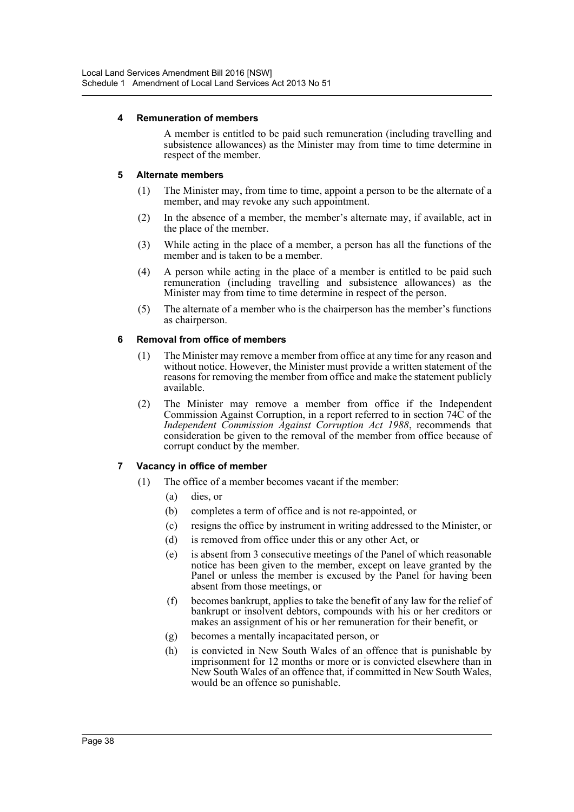#### **4 Remuneration of members**

A member is entitled to be paid such remuneration (including travelling and subsistence allowances) as the Minister may from time to time determine in respect of the member.

### **5 Alternate members**

- (1) The Minister may, from time to time, appoint a person to be the alternate of a member, and may revoke any such appointment.
- (2) In the absence of a member, the member's alternate may, if available, act in the place of the member.
- (3) While acting in the place of a member, a person has all the functions of the member and is taken to be a member.
- (4) A person while acting in the place of a member is entitled to be paid such remuneration (including travelling and subsistence allowances) as the Minister may from time to time determine in respect of the person.
- (5) The alternate of a member who is the chairperson has the member's functions as chairperson.

### **6 Removal from office of members**

- (1) The Minister may remove a member from office at any time for any reason and without notice. However, the Minister must provide a written statement of the reasons for removing the member from office and make the statement publicly available.
- (2) The Minister may remove a member from office if the Independent Commission Against Corruption, in a report referred to in section 74C of the *Independent Commission Against Corruption Act 1988*, recommends that consideration be given to the removal of the member from office because of corrupt conduct by the member.

# **7 Vacancy in office of member**

- (1) The office of a member becomes vacant if the member:
	- (a) dies, or
	- (b) completes a term of office and is not re-appointed, or
	- (c) resigns the office by instrument in writing addressed to the Minister, or
	- (d) is removed from office under this or any other Act, or
	- (e) is absent from 3 consecutive meetings of the Panel of which reasonable notice has been given to the member, except on leave granted by the Panel or unless the member is excused by the Panel for having been absent from those meetings, or
	- (f) becomes bankrupt, applies to take the benefit of any law for the relief of bankrupt or insolvent debtors, compounds with his or her creditors or makes an assignment of his or her remuneration for their benefit, or
	- (g) becomes a mentally incapacitated person, or
	- (h) is convicted in New South Wales of an offence that is punishable by imprisonment for 12 months or more or is convicted elsewhere than in New South Wales of an offence that, if committed in New South Wales, would be an offence so punishable.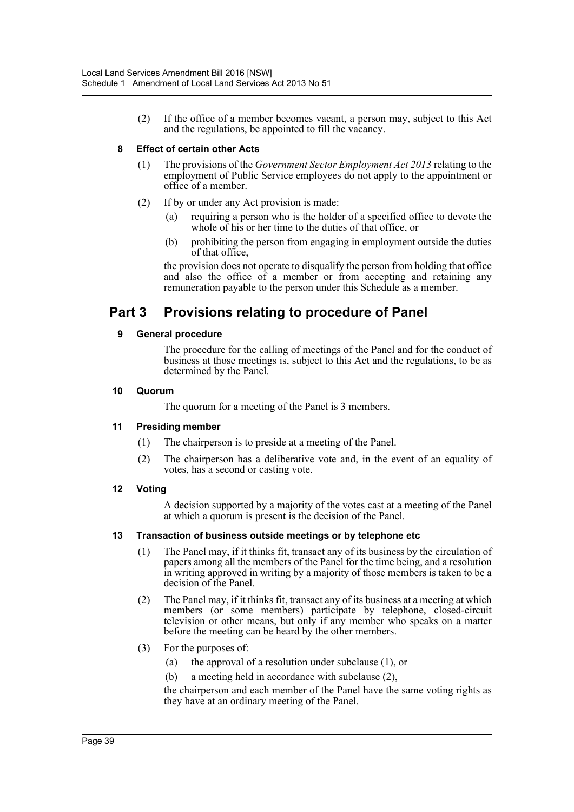(2) If the office of a member becomes vacant, a person may, subject to this Act and the regulations, be appointed to fill the vacancy.

## **8 Effect of certain other Acts**

- (1) The provisions of the *Government Sector Employment Act 2013* relating to the employment of Public Service employees do not apply to the appointment or office of a member.
- (2) If by or under any Act provision is made:
	- (a) requiring a person who is the holder of a specified office to devote the whole of his or her time to the duties of that office, or
	- (b) prohibiting the person from engaging in employment outside the duties of that office,

the provision does not operate to disqualify the person from holding that office and also the office of a member or from accepting and retaining any remuneration payable to the person under this Schedule as a member.

# **Part 3 Provisions relating to procedure of Panel**

### **9 General procedure**

The procedure for the calling of meetings of the Panel and for the conduct of business at those meetings is, subject to this Act and the regulations, to be as determined by the Panel.

#### **10 Quorum**

The quorum for a meeting of the Panel is 3 members.

#### **11 Presiding member**

- (1) The chairperson is to preside at a meeting of the Panel.
- (2) The chairperson has a deliberative vote and, in the event of an equality of votes, has a second or casting vote.

# **12 Voting**

A decision supported by a majority of the votes cast at a meeting of the Panel at which a quorum is present is the decision of the Panel.

#### **13 Transaction of business outside meetings or by telephone etc**

- (1) The Panel may, if it thinks fit, transact any of its business by the circulation of papers among all the members of the Panel for the time being, and a resolution in writing approved in writing by a majority of those members is taken to be a decision of the Panel.
- (2) The Panel may, if it thinks fit, transact any of its business at a meeting at which members (or some members) participate by telephone, closed-circuit television or other means, but only if any member who speaks on a matter before the meeting can be heard by the other members.
- (3) For the purposes of:
	- (a) the approval of a resolution under subclause (1), or
	- (b) a meeting held in accordance with subclause (2),

the chairperson and each member of the Panel have the same voting rights as they have at an ordinary meeting of the Panel.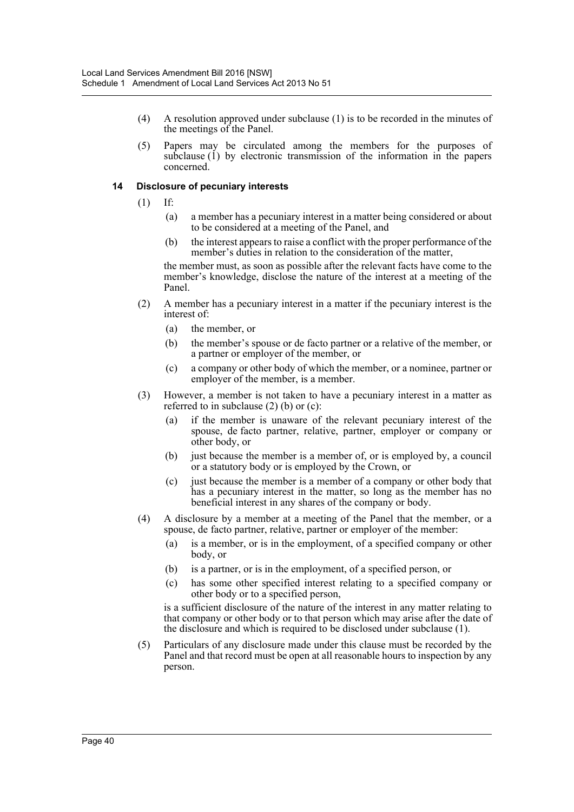- (4) A resolution approved under subclause (1) is to be recorded in the minutes of the meetings of the Panel.
- (5) Papers may be circulated among the members for the purposes of subclause (1) by electronic transmission of the information in the papers concerned.

#### **14 Disclosure of pecuniary interests**

- (1) If:
	- (a) a member has a pecuniary interest in a matter being considered or about to be considered at a meeting of the Panel, and
	- (b) the interest appears to raise a conflict with the proper performance of the member's duties in relation to the consideration of the matter,

the member must, as soon as possible after the relevant facts have come to the member's knowledge, disclose the nature of the interest at a meeting of the Panel.

- (2) A member has a pecuniary interest in a matter if the pecuniary interest is the interest of:
	- (a) the member, or
	- (b) the member's spouse or de facto partner or a relative of the member, or a partner or employer of the member, or
	- (c) a company or other body of which the member, or a nominee, partner or employer of the member, is a member.
- (3) However, a member is not taken to have a pecuniary interest in a matter as referred to in subclause (2) (b) or (c):
	- (a) if the member is unaware of the relevant pecuniary interest of the spouse, de facto partner, relative, partner, employer or company or other body, or
	- (b) just because the member is a member of, or is employed by, a council or a statutory body or is employed by the Crown, or
	- (c) just because the member is a member of a company or other body that has a pecuniary interest in the matter, so long as the member has no beneficial interest in any shares of the company or body.
- (4) A disclosure by a member at a meeting of the Panel that the member, or a spouse, de facto partner, relative, partner or employer of the member:
	- (a) is a member, or is in the employment, of a specified company or other body, or
	- (b) is a partner, or is in the employment, of a specified person, or
	- (c) has some other specified interest relating to a specified company or other body or to a specified person,

is a sufficient disclosure of the nature of the interest in any matter relating to that company or other body or to that person which may arise after the date of the disclosure and which is required to be disclosed under subclause (1).

(5) Particulars of any disclosure made under this clause must be recorded by the Panel and that record must be open at all reasonable hours to inspection by any person.